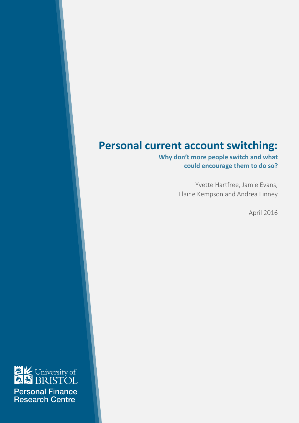### **Personal current account switching:**

Why don't more people switch and what could encourage them to do so?

> Yvette Hartfree, Jamie Evans, Elaine Kempson and Andrea Finney

> > April 2016

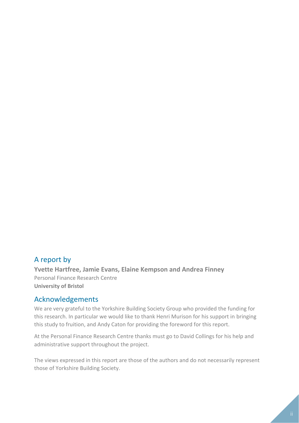### A report by

**Yvette Hartfree, Jamie Evans, Elaine Kempson and Andrea Finney** Personal Finance Research Centre **University of Bristol**

### Acknowledgements

We are very grateful to the Yorkshire Building Society Group who provided the funding for this research. In particular we would like to thank Henri Murison for his support in bringing this study to fruition, and Andy Caton for providing the foreword for this report.

At the Personal Finance Research Centre thanks must go to David Collings for his help and administrative support throughout the project.

The views expressed in this report are those of the authors and do not necessarily represent those of Yorkshire Building Society.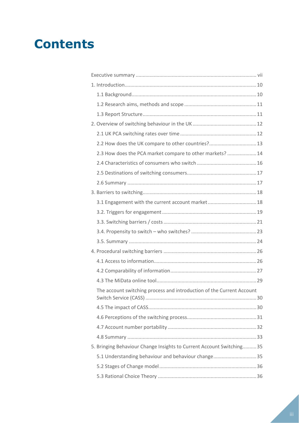## **Contents**

|                                                                       | 2.2 How does the UK compare to other countries? 13                    |
|-----------------------------------------------------------------------|-----------------------------------------------------------------------|
|                                                                       | 2.3 How does the PCA market compare to other markets?  14             |
|                                                                       |                                                                       |
|                                                                       |                                                                       |
|                                                                       |                                                                       |
|                                                                       |                                                                       |
|                                                                       | 3.1 Engagement with the current account market 18                     |
|                                                                       |                                                                       |
|                                                                       |                                                                       |
|                                                                       |                                                                       |
|                                                                       |                                                                       |
|                                                                       |                                                                       |
|                                                                       |                                                                       |
|                                                                       |                                                                       |
|                                                                       |                                                                       |
| The account switching process and introduction of the Current Account |                                                                       |
|                                                                       |                                                                       |
|                                                                       |                                                                       |
|                                                                       |                                                                       |
|                                                                       |                                                                       |
|                                                                       | 5. Bringing Behaviour Change Insights to Current Account Switching 35 |
|                                                                       | 5.1 Understanding behaviour and behaviour change 35                   |
|                                                                       |                                                                       |
|                                                                       |                                                                       |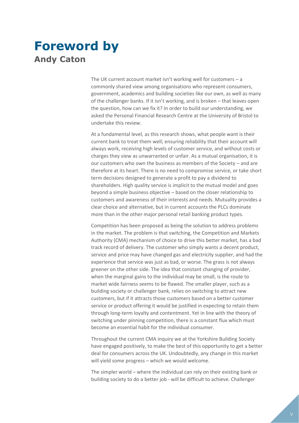### **Foreword by Andy Caton**

The UK current account market isn't working well for customers  $-$  a commonly shared view among organisations who represent consumers, government, academics and building societies like our own, as well as many of the challenger banks. If it isn't working, and is broken – that leaves open the question, how can we fix it? In order to build our understanding, we asked the Personal Financial Research Centre at the University of Bristol to undertake this review.

At a fundamental level, as this research shows, what people want is their current bank to treat them well; ensuring reliability that their account will always work, receiving high levels of customer service, and without costs or charges they view as unwarranted or unfair. As a mutual organisation, it is our customers who own the business as members of the Society – and are therefore at its heart. There is no need to compromise service, or take short term decisions designed to generate a profit to pay a dividend to shareholders. High quality service is implicit to the mutual model and goes beyond a simple business objective – based on the closer relationship to customers and awareness of their interests and needs. Mutuality provides a clear choice and alternative, but in current accounts the PLCs dominate more than in the other major personal retail banking product types.

Competition has been proposed as being the solution to address problems in the market. The problem is that switching, the Competition and Markets Authority (CMA) mechanism of choice to drive this better market, has a bad track record of delivery. The customer who simply wants a decent product, service and price may have changed gas and electricity supplier, and had the experience that service was just as bad, or worse. The grass is not always greener on the other side. The idea that constant changing of provider, when the marginal gains to the individual may be small, is the route to market wide fairness seems to be flawed. The smaller player, such as a building society or challenger bank, relies on switching to attract new customers, but if it attracts those customers based on a better customer service or product offering it would be justified in expecting to retain them through long-term loyalty and contentment. Yet in line with the theory of switching under pinning competition, there is a constant flux which must become an essential habit for the individual consumer.

Throughout the current CMA inquiry we at the Yorkshire Building Society have engaged positively, to make the best of this opportunity to get a better deal for consumers across the UK. Undoubtedly, any change in this market will yield some progress – which we would welcome.

The simpler world – where the individual can rely on their existing bank or building society to do a better job - will be difficult to achieve. Challenger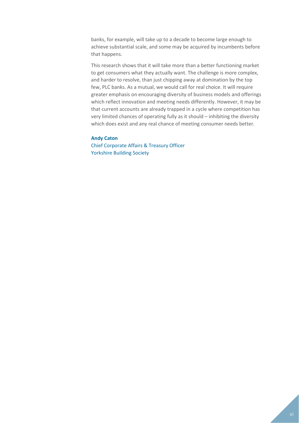banks, for example, will take up to a decade to become large enough to achieve substantial scale, and some may be acquired by incumbents before that happens.

This research shows that it will take more than a better functioning market to get consumers what they actually want. The challenge is more complex, and harder to resolve, than just chipping away at domination by the top few, PLC banks. As a mutual, we would call for real choice. It will require greater emphasis on encouraging diversity of business models and offerings which reflect innovation and meeting needs differently. However, it may be that current accounts are already trapped in a cycle where competition has very limited chances of operating fully as it should – inhibiting the diversity which does exist and any real chance of meeting consumer needs better.

#### **Andy Caton**

Chief Corporate Affairs & Treasury Officer Yorkshire Building Society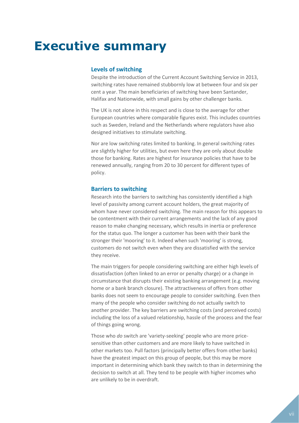## <span id="page-6-0"></span>**Executive summary**

#### **Levels of switching**

Despite the introduction of the Current Account Switching Service in 2013, switching rates have remained stubbornly low at between four and six per cent a year. The main beneficiaries of switching have been Santander, Halifax and Nationwide, with small gains by other challenger banks.

The UK is not alone in this respect and is close to the average for other European countries where comparable figures exist. This includes countries such as Sweden, Ireland and the Netherlands where regulators have also designed initiatives to stimulate switching.

Nor are low switching rates limited to banking. In general switching rates are slightly higher for utilities, but even here they are only about double those for banking. Rates are highest for insurance policies that have to be renewed annually, ranging from 20 to 30 percent for different types of policy.

#### **Barriers to switching**

Research into the barriers to switching has consistently identified a high level of passivity among current account holders, the great majority of whom have never considered switching. The main reason for this appears to be contentment with their current arrangements and the lack of any good reason to make changing necessary, which results in inertia or preference for the status quo. The longer a customer has been with their bank the stronger their 'mooring' to it. Indeed when such 'mooring' is strong, customers do not switch even when they are dissatisfied with the service they receive.

The main triggers for people considering switching are either high levels of dissatisfaction (often linked to an error or penalty charge) or a change in circumstance that disrupts their existing banking arrangement (e.g. moving home or a bank branch closure). The attractiveness of offers from other banks does not seem to encourage people to consider switching. Even then many of the people who consider switching do not actually switch to another provider. The key barriers are switching costs (and perceived costs) including the loss of a valued relationship, hassle of the process and the fear of things going wrong.

Those who *do* switch are 'variety-seeking' people who are more pricesensitive than other customers and are more likely to have switched in other markets too. Pull factors (principally better offers from other banks) have the greatest impact on this group of people, but this may be more important in determining which bank they switch to than in determining the decision to switch at all. They tend to be people with higher incomes who are unlikely to be in overdraft.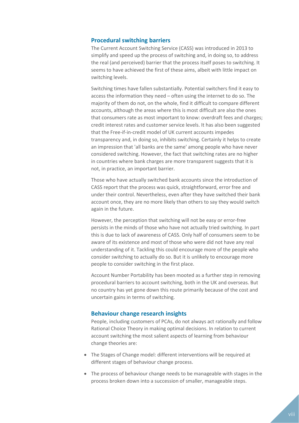#### **Procedural switching barriers**

The Current Account Switching Service (CASS) was introduced in 2013 to simplify and speed up the process of switching and, in doing so, to address the real (and perceived) barrier that the process itself poses to switching. It seems to have achieved the first of these aims, albeit with little impact on switching levels.

Switching times have fallen substantially. Potential switchers find it easy to access the information they need – often using the internet to do so. The majority of them do not, on the whole, find it difficult to compare different accounts, although the areas where this is most difficult are also the ones that consumers rate as most important to know: overdraft fees and charges; credit interest rates and customer service levels. It has also been suggested that the Free-if-in-credit model of UK current accounts impedes transparency and, in doing so, inhibits switching. Certainly it helps to create an impression that 'all banks are the same' among people who have never considered switching. However, the fact that switching rates are no higher in countries where bank charges are more transparent suggests that it is not, in practice, an important barrier.

Those who have actually switched bank accounts since the introduction of CASS report that the process was quick, straightforward, error free and under their control. Nevertheless, even after they have switched their bank account once, they are no more likely than others to say they would switch again in the future.

However, the perception that switching will not be easy or error-free persists in the minds of those who have not actually tried switching. In part this is due to lack of awareness of CASS. Only half of consumers seem to be aware of its existence and most of those who were did not have any real understanding of it. Tackling this could encourage more of the people who consider switching to actually do so. But it is unlikely to encourage more people to consider switching in the first place.

Account Number Portability has been mooted as a further step in removing procedural barriers to account switching, both in the UK and overseas. But no country has yet gone down this route primarily because of the cost and uncertain gains in terms of switching.

#### **Behaviour change research insights**

People, including customers of PCAs, do not always act rationally and follow Rational Choice Theory in making optimal decisions. In relation to current account switching the most salient aspects of learning from behaviour change theories are:

- The Stages of Change model: different interventions will be required at different stages of behaviour change process.
- The process of behaviour change needs to be manageable with stages in the process broken down into a succession of smaller, manageable steps.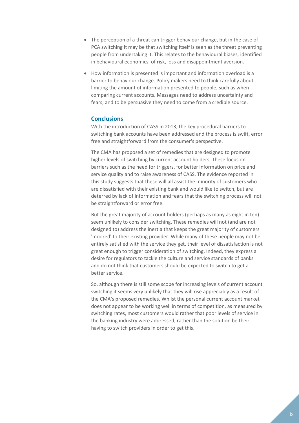- The perception of a threat can trigger behaviour change, but in the case of PCA switching it may be that switching itself is seen as the threat preventing people from undertaking it. This relates to the behavioural biases, identified in behavioural economics, of risk, loss and disappointment aversion.
- How information is presented is important and information overload is a barrier to behaviour change. Policy makers need to think carefully about limiting the amount of information presented to people, such as when comparing current accounts. Messages need to address uncertainty and fears, and to be persuasive they need to come from a credible source.

#### **Conclusions**

With the introduction of CASS in 2013, the key procedural barriers to switching bank accounts have been addressed and the process is swift, error free and straightforward from the consumer's perspective.

The CMA has proposed a set of remedies that are designed to promote higher levels of switching by current account holders. These focus on barriers such as the need for triggers, for better information on price and service quality and to raise awareness of CASS. The evidence reported in this study suggests that these will all assist the minority of customers who are dissatisfied with their existing bank and would like to switch, but are deterred by lack of information and fears that the switching process will not be straightforward or error free.

But the great majority of account holders (perhaps as many as eight in ten) seem unlikely to consider switching. These remedies will not (and are not designed to) address the inertia that keeps the great majority of customers 'moored' to their existing provider. While many of these people may not be entirely satisfied with the service they get, their level of dissatisfaction is not great enough to trigger consideration of switching. Indeed, they express a desire for regulators to tackle the culture and service standards of banks and do not think that customers should be expected to switch to get a better service.

So, although there is still some scope for increasing levels of current account switching it seems very unlikely that they will rise appreciably as a result of the CMA's proposed remedies. Whilst the personal current account market does not appear to be working well in terms of competition, as measured by switching rates, most customers would rather that poor levels of service in the banking industry were addressed, rather than the solution be their having to switch providers in order to get this.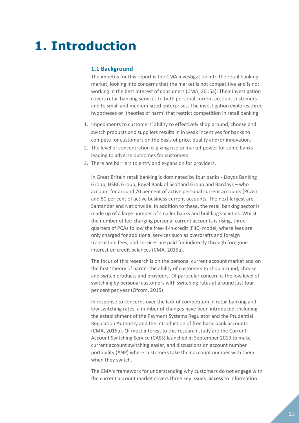## <span id="page-9-0"></span>**1. Introduction**

#### <span id="page-9-1"></span>**1.1 Background**

The impetus for this report is the CMA investigation into the retail banking market, looking into concerns that the market is not competitive and is not working in the best interest of consumers (CMA, 2015a). Their investigation covers retail banking services to both personal current account customers and to small and medium-sized enterprises. The investigation explores three hypotheses or 'theories of harm' that restrict competition in retail banking:

- 1. Impediments to customers' ability to effectively shop around, choose and switch products and suppliers results in in weak incentives for banks to compete for customers on the basis of price, quality and/or innovation.
- 2. The level of concentration is giving rise to market power for some banks leading to adverse outcomes for customers.
- 3. There are barriers to entry and expansion for providers.

In Great Britain retail banking is dominated by four banks - Lloyds Banking Group, HSBC Group, Royal Bank of Scotland Group and Barclays – who account for around 70 per cent of active personal current accounts (PCAs) and 80 per cent of active business current accounts. The next largest are Santander and Nationwide. In addition to these, the retail banking sector is made up of a large number of smaller banks and building societies. Whilst the number of fee-charging personal current accounts is rising, three quarters of PCAs follow the free-if-in-credit (FIIC) model, where fees are only charged for additional services such as overdrafts and foreign transaction fees, and services are paid for indirectly through foregone interest on credit balances (CMA, 2015a).

The focus of this research is on the personal current account market and on the first 'theory of harm': the ability of customers to shop around, choose and switch products and providers. Of particular concern is the low level of switching by personal customers with switching rates at around just four per cent per year (Ofcom, 2015)

In response to concerns over the lack of competition in retail banking and low switching rates, a number of changes have been introduced, including the establishment of the Payment Systems Regulator and the Prudential Regulation Authority and the introduction of free basic bank accounts (CMA, 2015a). Of most interest to this research study are the Current Account Switching Service (CASS) launched in September 2013 to make current account switching easier, and discussions on account number portability (ANP) where customers take their account number with them when they switch.

The CMA's framework for understanding why customers do not engage with the current account market covers three key issues: **access** to information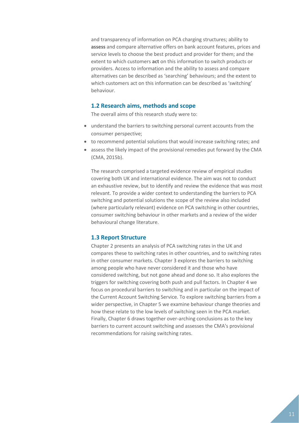and transparency of information on PCA charging structures; ability to **assess** and compare alternative offers on bank account features, prices and service levels to choose the best product and provider for them; and the extent to which customers **act** on this information to switch products or providers. Access to information and the ability to assess and compare alternatives can be described as 'searching' behaviours; and the extent to which customers act on this information can be described as 'switching' behaviour.

#### <span id="page-10-0"></span>**1.2 Research aims, methods and scope**

The overall aims of this research study were to:

- understand the barriers to switching personal current accounts from the consumer perspective;
- to recommend potential solutions that would increase switching rates; and
- assess the likely impact of the provisional remedies put forward by the CMA (CMA, 2015b).

The research comprised a targeted evidence review of empirical studies covering both UK and international evidence. The aim was not to conduct an exhaustive review, but to identify and review the evidence that was most relevant. To provide a wider context to understanding the barriers to PCA switching and potential solutions the scope of the review also included (where particularly relevant) evidence on PCA switching in other countries, consumer switching behaviour in other markets and a review of the wider behavioural change literature.

#### <span id="page-10-1"></span>**1.3 Report Structure**

Chapter 2 presents an analysis of PCA switching rates in the UK and compares these to switching rates in other countries, and to switching rates in other consumer markets. Chapter 3 explores the barriers to switching among people who have never considered it and those who have considered switching, but not gone ahead and done so. It also explores the triggers for switching covering both push and pull factors. In Chapter 4 we focus on procedural barriers to switching and in particular on the impact of the Current Account Switching Service. To explore switching barriers from a wider perspective, in Chapter 5 we examine behaviour change theories and how these relate to the low levels of switching seen in the PCA market. Finally, Chapter 6 draws together over-arching conclusions as to the key barriers to current account switching and assesses the CMA's provisional recommendations for raising switching rates.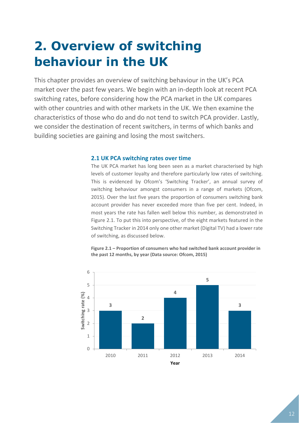# <span id="page-11-0"></span>**2. Overview of switching behaviour in the UK**

This chapter provides an overview of switching behaviour in the UK's PCA market over the past few years. We begin with an in-depth look at recent PCA switching rates, before considering how the PCA market in the UK compares with other countries and with other markets in the UK. We then examine the characteristics of those who do and do not tend to switch PCA provider. Lastly, we consider the destination of recent switchers, in terms of which banks and building societies are gaining and losing the most switchers.

#### <span id="page-11-1"></span>**2.1 UK PCA switching rates over time**

The UK PCA market has long been seen as a market characterised by high levels of customer loyalty and therefore particularly low rates of switching. This is evidenced by Ofcom's 'Switching Tracker', an annual survey of switching behaviour amongst consumers in a range of markets (Ofcom, 2015). Over the last five years the proportion of consumers switching bank account provider has never exceeded more than five per cent. Indeed, in most years the rate has fallen well below this number, as demonstrated in Figure 2.1. To put this into perspective, of the eight markets featured in the Switching Tracker in 2014 only one other market (Digital TV) had a lower rate of switching, as discussed below.



**Figure 2.1 – Proportion of consumers who had switched bank account provider in the past 12 months, by year (Data source: Ofcom, 2015)**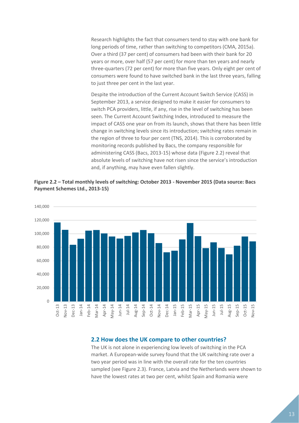Research highlights the fact that consumers tend to stay with one bank for long periods of time, rather than switching to competitors (CMA, 2015a). Over a third (37 per cent) of consumers had been with their bank for 20 years or more, over half (57 per cent) for more than ten years and nearly three-quarters (72 per cent) for more than five years. Only eight per cent of consumers were found to have switched bank in the last three years, falling to just three per cent in the last year.

Despite the introduction of the Current Account Switch Service (CASS) in September 2013, a service designed to make it easier for consumers to switch PCA providers, little, if any, rise in the level of switching has been seen. The Current Account Switching Index, introduced to measure the impact of CASS one year on from its launch, shows that there has been little change in switching levels since its introduction; switching rates remain in the region of three to four per cent (TNS, 2014). This is corroborated by monitoring records published by Bacs, the company responsible for administering CASS (Bacs, 2013-15) whose data (Figure 2.2) reveal that absolute levels of switching have not risen since the service's introduction and, if anything, may have even fallen slightly.





#### <span id="page-12-0"></span>**2.2 How does the UK compare to other countries?**

The UK is not alone in experiencing low levels of switching in the PCA market. A European-wide survey found that the UK switching rate over a two year period was in line with the overall rate for the ten countries sampled (see Figure 2.3). France, Latvia and the Netherlands were shown to have the lowest rates at two per cent, whilst Spain and Romania were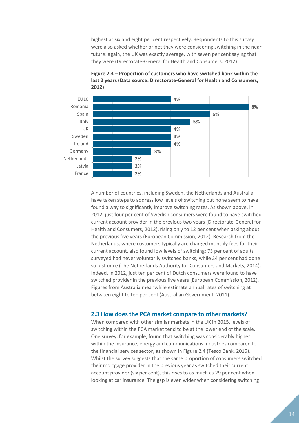highest at six and eight per cent respectively. Respondents to this survey were also asked whether or not they were considering switching in the near future: again, the UK was exactly average, with seven per cent saying that they were (Directorate-General for Health and Consumers, 2012).





A number of countries, including Sweden, the Netherlands and Australia, have taken steps to address low levels of switching but none seem to have found a way to significantly improve switching rates. As shown above, in 2012, just four per cent of Swedish consumers were found to have switched current account provider in the previous two years (Directorate-General for Health and Consumers, 2012), rising only to 12 per cent when asking about the previous five years (European Commission, 2012). Research from the Netherlands, where customers typically are charged monthly fees for their current account, also found low levels of switching: 73 per cent of adults surveyed had never voluntarily switched banks, while 24 per cent had done so just once (The Netherlands Authority for Consumers and Markets, 2014). Indeed, in 2012, just ten per cent of Dutch consumers were found to have switched provider in the previous five years (European Commission, 2012). Figures from Australia meanwhile estimate annual rates of switching at between eight to ten per cent (Australian Government, 2011).

#### <span id="page-13-0"></span>**2.3 How does the PCA market compare to other markets?**

When compared with other similar markets in the UK in 2015, levels of switching within the PCA market tend to be at the lower end of the scale. One survey, for example, found that switching was considerably higher within the insurance, energy and communications industries compared to the financial services sector, as shown in Figure 2.4 (Tesco Bank, 2015). Whilst the survey suggests that the same proportion of consumers switched their mortgage provider in the previous year as switched their current account provider (six per cent), this rises to as much as 29 per cent when looking at car insurance. The gap is even wider when considering switching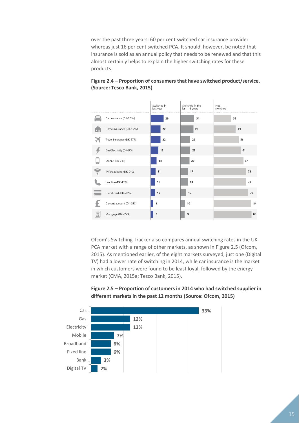over the past three years: 60 per cent switched car insurance provider whereas just 16 per cent switched PCA. It should, however, be noted that insurance is sold as an annual policy that needs to be renewed and that this almost certainly helps to explain the higher switching rates for these products.



#### **Figure 2.4 – Proportion of consumers that have switched product/service. (Source: Tesco Bank, 2015)**

Ofcom's Switching Tracker also compares annual switching rates in the UK PCA market with a range of other markets, as shown in Figure 2.5 (Ofcom, 2015). As mentioned earlier, of the eight markets surveyed, just one (Digital TV) had a lower rate of switching in 2014, while car insurance is the market in which customers were found to be least loyal, followed by the energy market (CMA, 2015a; Tesco Bank, 2015).



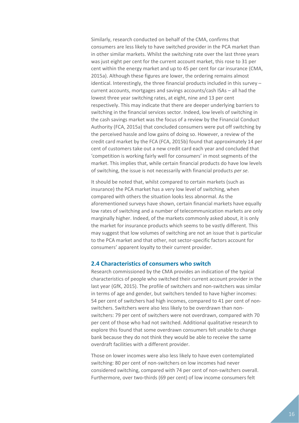Similarly, research conducted on behalf of the CMA, confirms that consumers are less likely to have switched provider in the PCA market than in other similar markets. Whilst the switching rate over the last three years was just eight per cent for the current account market, this rose to 31 per cent within the energy market and up to 45 per cent for car insurance (CMA, 2015a). Although these figures are lower, the ordering remains almost identical. Interestingly, the three financial products included in this survey – current accounts, mortgages and savings accounts/cash ISAs – all had the lowest three year switching rates, at eight, nine and 13 per cent respectively. This may indicate that there are deeper underlying barriers to switching in the financial services sector. Indeed, low levels of switching in the cash savings market was the focus of a review by the Financial Conduct Authority (FCA, 2015a) that concluded consumers were put off switching by the perceived hassle and low gains of doing so. However, a review of the credit card market by the FCA (FCA, 2015b) found that approximately 14 per cent of customers take out a new credit card each year and concluded that 'competition is working fairly well for consumers' in most segments of the market. This implies that, while certain financial products do have low levels of switching, the issue is not necessarily with financial products *per se*.

It should be noted that, whilst compared to certain markets (such as insurance) the PCA market has a very low level of switching, when compared with others the situation looks less abnormal. As the aforementioned surveys have shown, certain financial markets have equally low rates of switching and a number of telecommunication markets are only marginally higher. Indeed, of the markets commonly asked about, it is only the market for insurance products which seems to be vastly different. This may suggest that low volumes of switching are not an issue that is particular to the PCA market and that other, not sector-specific factors account for consumers' apparent loyalty to their current provider.

#### <span id="page-15-0"></span>**2.4 Characteristics of consumers who switch**

Research commissioned by the CMA provides an indication of the typical characteristics of people who switched their current account provider in the last year (GfK, 2015). The profile of switchers and non-switchers was similar in terms of age and gender, but switchers tended to have higher incomes: 54 per cent of switchers had high incomes, compared to 41 per cent of nonswitchers. Switchers were also less likely to be overdrawn than nonswitchers: 79 per cent of switchers were not overdrawn, compared with 70 per cent of those who had not switched. Additional qualitative research to explore this found that some overdrawn consumers felt unable to change bank because they do not think they would be able to receive the same overdraft facilities with a different provider.

Those on lower incomes were also less likely to have even contemplated switching: 80 per cent of non-switchers on low incomes had never considered switching, compared with 74 per cent of non-switchers overall. Furthermore, over two-thirds (69 per cent) of low income consumers felt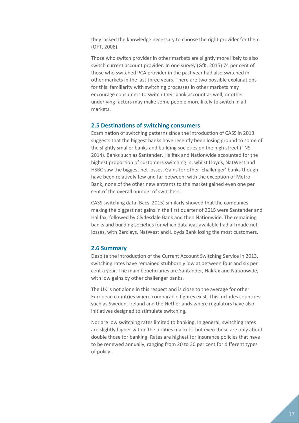they lacked the knowledge necessary to choose the right provider for them (OFT, 2008).

Those who switch provider in other markets are slightly more likely to also switch current account provider. In one survey (GfK, 2015) 74 per cent of those who switched PCA provider in the past year had also switched in other markets in the last three years. There are two possible explanations for this: familiarity with switching processes in other markets may encourage consumers to switch their bank account as well, or other underlying factors may make some people more likely to switch in all markets.

#### <span id="page-16-0"></span>**2.5 Destinations of switching consumers**

Examination of switching patterns since the introduction of CASS in 2013 suggests that the biggest banks have recently been losing ground to some of the slightly smaller banks and building societies on the high street (TNS, 2014). Banks such as Santander, Halifax and Nationwide accounted for the highest proportion of customers switching in, whilst Lloyds, NatWest and HSBC saw the biggest net losses. Gains for other 'challenger' banks though have been relatively few and far between; with the exception of Metro Bank, none of the other new entrants to the market gained even one per cent of the overall number of switchers.

CASS switching data (Bacs, 2015) similarly showed that the companies making the biggest net gains in the first quarter of 2015 were Santander and Halifax, followed by Clydesdale Bank and then Nationwide. The remaining banks and building societies for which data was available had all made net losses, with Barclays, NatWest and Lloyds Bank losing the most customers.

#### <span id="page-16-1"></span>**2.6 Summary**

Despite the introduction of the Current Account Switching Service in 2013, switching rates have remained stubbornly low at between four and six per cent a year. The main beneficiaries are Santander, Halifax and Nationwide, with low gains by other challenger banks.

The UK is not alone in this respect and is close to the average for other European countries where comparable figures exist. This includes countries such as Sweden, Ireland and the Netherlands where regulators have also initiatives designed to stimulate switching.

Nor are low switching rates limited to banking. In general, switching rates are slightly higher within the utilities markets, but even these are only about double those for banking. Rates are highest for insurance policies that have to be renewed annually, ranging from 20 to 30 per cent for different types of policy.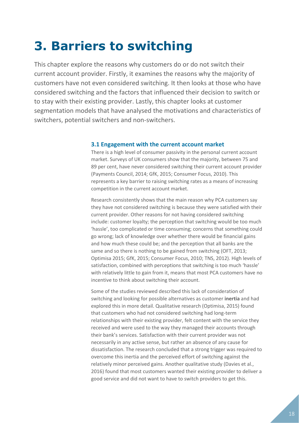# <span id="page-17-0"></span>**3. Barriers to switching**

This chapter explore the reasons why customers do or do not switch their current account provider. Firstly, it examines the reasons why the majority of customers have not even considered switching. It then looks at those who have considered switching and the factors that influenced their decision to switch or to stay with their existing provider. Lastly, this chapter looks at customer segmentation models that have analysed the motivations and characteristics of switchers, potential switchers and non-switchers.

#### <span id="page-17-1"></span>**3.1 Engagement with the current account market**

There is a high level of consumer passivity in the personal current account market. Surveys of UK consumers show that the majority, between 75 and 89 per cent, have never considered switching their current account provider (Payments Council, 2014; GfK, 2015; Consumer Focus, 2010). This represents a key barrier to raising switching rates as a means of increasing competition in the current account market.

Research consistently shows that the main reason why PCA customers say they have not considered switching is because they were satisfied with their current provider. Other reasons for not having considered switching include: customer loyalty; the perception that switching would be too much 'hassle', too complicated or time consuming; concerns that something could go wrong; lack of knowledge over whether there would be financial gains and how much these could be; and the perception that all banks are the same and so there is nothing to be gained from switching (OFT, 2013; Optimisa 2015; GfK, 2015; Consumer Focus, 2010; TNS, 2012). High levels of satisfaction, combined with perceptions that switching is too much 'hassle' with relatively little to gain from it, means that most PCA customers have no incentive to think about switching their account.

Some of the studies reviewed described this lack of consideration of switching and looking for possible alternatives as customer **inertia** and had explored this in more detail. Qualitative research (Optimisa, 2015) found that customers who had not considered switching had long-term relationships with their existing provider, felt content with the service they received and were used to the way they managed their accounts through their bank's services. Satisfaction with their current provider was not necessarily in any active sense, but rather an absence of any cause for dissatisfaction. The research concluded that a strong trigger was required to overcome this inertia and the perceived effort of switching against the relatively minor perceived gains. Another qualitative study (Davies et al., 2016) found that most customers wanted their existing provider to deliver a good service and did not want to have to switch providers to get this.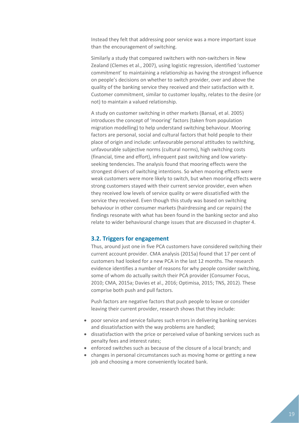Instead they felt that addressing poor service was a more important issue than the encouragement of switching.

Similarly a study that compared switchers with non-switchers in New Zealand (Clemes et al., 2007), using logistic regression, identified 'customer commitment' to maintaining a relationship as having the strongest influence on people's decisions on whether to switch provider, over and above the quality of the banking service they received and their satisfaction with it. Customer commitment, similar to customer loyalty, relates to the desire (or not) to maintain a valued relationship.

A study on customer switching in other markets (Bansal, et al. 2005) introduces the concept of 'mooring' factors (taken from population migration modelling) to help understand switching behaviour. Mooring factors are personal, social and cultural factors that hold people to their place of origin and include: unfavourable personal attitudes to switching, unfavourable subjective norms (cultural norms), high switching costs (financial, time and effort), infrequent past switching and low varietyseeking tendencies. The analysis found that mooring effects were the strongest drivers of switching intentions. So when mooring effects were weak customers were more likely to switch, but when mooring effects were strong customers stayed with their current service provider, even when they received low levels of service quality or were dissatisfied with the service they received. Even though this study was based on switching behaviour in other consumer markets (hairdressing and car repairs) the findings resonate with what has been found in the banking sector and also relate to wider behavioural change issues that are discussed in chapter 4.

#### <span id="page-18-0"></span>**3.2. Triggers for engagement**

Thus, around just one in five PCA customers have considered switching their current account provider. CMA analysis (2015a) found that 17 per cent of customers had looked for a new PCA in the last 12 months. The research evidence identifies a number of reasons for why people consider switching, some of whom do actually switch their PCA provider (Consumer Focus, 2010; CMA, 2015a; Davies et al., 2016; Optimisa, 2015; TNS, 2012). These comprise both push and pull factors.

Push factors are negative factors that push people to leave or consider leaving their current provider, research shows that they include:

- poor service and service failures such errors in delivering banking services and dissatisfaction with the way problems are handled;
- dissatisfaction with the price or perceived value of banking services such as penalty fees and interest rates;
- enforced switches such as because of the closure of a local branch; and
- changes in personal circumstances such as moving home or getting a new job and choosing a more conveniently located bank.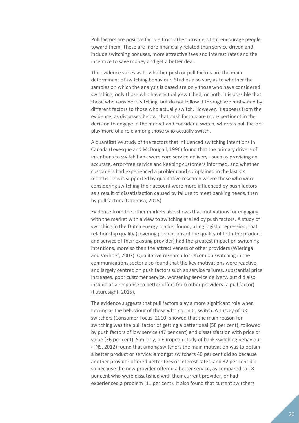Pull factors are positive factors from other providers that encourage people toward them. These are more financially related than service driven and include switching bonuses, more attractive fees and interest rates and the incentive to save money and get a better deal.

The evidence varies as to whether push or pull factors are the main determinant of switching behaviour. Studies also vary as to whether the samples on which the analysis is based are only those who have considered switching, only those who have actually switched, or both. It is possible that those who consider switching, but do not follow it through are motivated by different factors to those who actually switch. However, it appears from the evidence, as discussed below, that push factors are more pertinent in the decision to engage in the market and consider a switch, whereas pull factors play more of a role among those who actually switch.

A quantitative study of the factors that influenced switching intentions in Canada (Levesque and McDougall, 1996) found that the primary drivers of intentions to switch bank were core service delivery - such as providing an accurate, error-free service and keeping customers informed, and whether customers had experienced a problem and complained in the last six months. This is supported by qualitative research where those who were considering switching their account were more influenced by push factors as a result of dissatisfaction caused by failure to meet banking needs, than by pull factors (Optimisa, 2015)

Evidence from the other markets also shows that motivations for engaging with the market with a view to switching are led by push factors. A study of switching in the Dutch energy market found, using logistic regression, that relationship quality (covering perceptions of the quality of both the product and service of their existing provider) had the greatest impact on switching intentions, more so than the attractiveness of other providers (Wieringa and Verhoef, 2007). Qualitative research for Ofcom on switching in the communications sector also found that the key motivations were reactive, and largely centred on push factors such as service failures, substantial price increases, poor customer service, worsening service delivery, but did also include as a response to better offers from other providers (a pull factor) (Futuresight, 2015).

The evidence suggests that pull factors play a more significant role when looking at the behaviour of those who go on to switch. A survey of UK switchers (Consumer Focus, 2010) showed that the main reason for switching was the pull factor of getting a better deal (58 per cent), followed by push factors of low service (47 per cent) and dissatisfaction with price or value (36 per cent). Similarly, a European study of bank switching behaviour (TNS, 2012) found that among switchers the main motivation was to obtain a better product or service: amongst switchers 40 per cent did so because another provider offered better fees or interest rates, and 32 per cent did so because the new provider offered a better service, as compared to 18 per cent who were dissatisfied with their current provider, or had experienced a problem (11 per cent). It also found that current switchers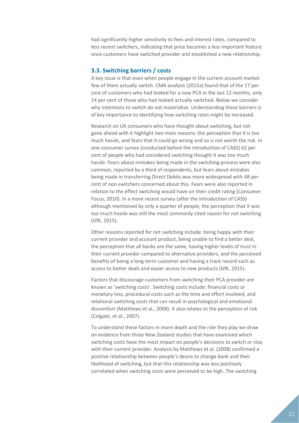had significantly higher sensitivity to fees and interest rates, compared to less recent switchers, indicating that price becomes a less important feature once customers have switched provider and established a new relationship.

#### <span id="page-20-0"></span>**3.3. Switching barriers / costs**

A key issue is that even when people engage in the current account market few of them actually switch. CMA analysis (2015a) found that of the 17 per cent of customers who had looked for a new PCA in the last 12 months, only 14 per cent of those who had looked actually switched. Below we consider why intentions to switch do not materialise. Understanding these barriers is of key importance to identifying how switching rates might be increased.

Research on UK consumers who have thought about switching, but not gone ahead with it highlight two main reasons: the perception that it is too much hassle, and fears that it could go wrong and so is not worth the risk. In one consumer survey (conducted before the introduction of CASS) 62 per cent of people who had considered switching thought it was too much hassle. Fears about mistakes being made in the switching process were also common, reported by a third of respondents, but fears about mistakes being made in transferring Direct Debits was more widespread with 48 per cent of non-switchers concerned about this. Fears were also reported in relation to the effect switching would have on their credit rating (Consumer Focus, 2010). In a more recent survey (after the introduction of CASS) although mentioned by only a quarter of people, the perception that it was too much hassle was still the most commonly cited reason for not switching (GfK, 2015).

Other reasons reported for not switching include: being happy with their current provider and account product, being unable to find a better deal, the perception that all banks are the same, having higher levels of trust in their current provider compared to alternative providers, and the perceived benefits of being a long-term customer and having a track record such as access to better deals and easier access to new products (GfK, 2015).

Factors that discourage customers from switching their PCA provider are known as 'switching costs'. Switching costs include: financial costs or monetary loss, procedural costs such as the time and effort involved, and relational switching costs that can result in psychological and emotional discomfort (Matthews et al., 2008). It also relates to the perception of risk (Colgate, et al., 2007).

To understand these factors in more depth and the role they play we draw on evidence from three New Zealand studies that have examined which switching costs have the most impact on people's decisions to switch or stay with their current provider. Analysis by Matthews et al. (2008) confirmed a positive relationship between people's desire to change bank and their likelihood of switching, but that this relationship was less positively correlated when switching costs were perceived to be high. The switching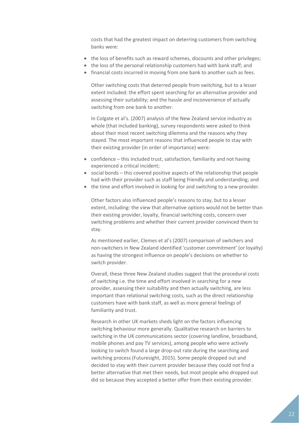costs that had the greatest impact on deterring customers from switching banks were:

- the loss of benefits such as reward schemes, discounts and other privileges;
- the loss of the personal relationship customers had with bank staff; and
- financial costs incurred in moving from one bank to another such as fees.

Other switching costs that deterred people from switching, but to a lesser extent included: the effort spent searching for an alternative provider and assessing their suitability; and the hassle and inconvenience of actually switching from one bank to another.

In Colgate et al's. (2007) analysis of the New Zealand service industry as whole (that included banking), survey respondents were asked to think about their most recent switching dilemma and the reasons why they stayed. The most important reasons that influenced people to stay with their existing provider (in order of importance) were:

- confidence this included trust, satisfaction, familiarity and not having experienced a critical incident;
- social bonds this covered positive aspects of the relationship that people had with their provider such as staff being friendly and understanding; and
- the time and effort involved in looking for and switching to a new provider.

Other factors also influenced people's reasons to stay, but to a lesser extent, including: the view that alternative options would not be better than their existing provider, loyalty, financial switching costs, concern over switching problems and whether their current provider convinced them to stay.

As mentioned earlier, Clemes et al's (2007) comparison of switchers and non-switchers in New Zealand identified 'customer commitment' (or loyalty) as having the strongest influence on people's decisions on whether to switch provider.

Overall, these three New Zealand studies suggest that the procedural costs of switching i.e. the time and effort involved in searching for a new provider, assessing their suitability and then actually switching, are less important than relational switching costs, such as the direct relationship customers have with bank staff, as well as more general feelings of familiarity and trust.

Research in other UK markets sheds light on the factors influencing switching behaviour more generally. Qualitative research on barriers to switching in the UK communications sector (covering landline, broadband, mobile phones and pay TV services), among people who were actively looking to switch found a large drop-out rate during the searching and switching process (Futuresight, 2015). Some people dropped out and decided to stay with their current provider because they could not find a better alternative that met their needs, but most people who dropped out did so because they accepted a better offer from their existing provider.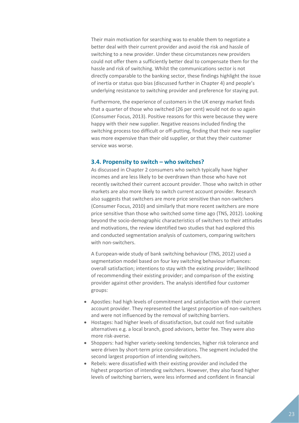Their main motivation for searching was to enable them to negotiate a better deal with their current provider and avoid the risk and hassle of switching to a new provider. Under these circumstances new providers could not offer them a sufficiently better deal to compensate them for the hassle and risk of switching. Whilst the communications sector is not directly comparable to the banking sector, these findings highlight the issue of inertia or status quo bias (discussed further in Chapter 4) and people's underlying resistance to switching provider and preference for staying put.

Furthermore, the experience of customers in the UK energy market finds that a quarter of those who switched (26 per cent) would not do so again (Consumer Focus, 2013). Positive reasons for this were because they were happy with their new supplier. Negative reasons included finding the switching process too difficult or off-putting, finding that their new supplier was more expensive than their old supplier, or that they their customer service was worse.

#### <span id="page-22-0"></span>**3.4. Propensity to switch – who switches?**

As discussed in Chapter 2 consumers who switch typically have higher incomes and are less likely to be overdrawn than those who have not recently switched their current account provider. Those who switch in other markets are also more likely to switch current account provider. Research also suggests that switchers are more price sensitive than non-switchers (Consumer Focus, 2010) and similarly that more recent switchers are more price sensitive than those who switched some time ago (TNS, 2012). Looking beyond the socio-demographic characteristics of switchers to their attitudes and motivations, the review identified two studies that had explored this and conducted segmentation analysis of customers, comparing switchers with non-switchers.

A European-wide study of bank switching behaviour (TNS, 2012) used a segmentation model based on four key switching behaviour influences: overall satisfaction; intentions to stay with the existing provider; likelihood of recommending their existing provider; and comparison of the existing provider against other providers. The analysis identified four customer groups:

- Apostles: had high levels of commitment and satisfaction with their current account provider. They represented the largest proportion of non-switchers and were not influenced by the removal of switching barriers.
- Hostages: had higher levels of dissatisfaction, but could not find suitable alternatives e.g. a local branch, good advisors, better fee. They were also more risk-averse.
- Shoppers: had higher variety-seeking tendencies, higher risk tolerance and were driven by short-term price considerations. The segment included the second largest proportion of intending switchers.
- Rebels: were dissatisfied with their existing provider and included the highest proportion of intending switchers. However, they also faced higher levels of switching barriers, were less informed and confident in financial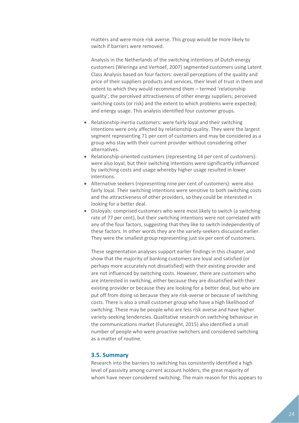matters and were more risk averse. This group would be more likely to switch if barriers were removed.

Analysis in the Netherlands of the switching intentions of Dutch energy customers (Wieringa and Verhoef, 2007) segmented customers using Latent Class Analysis based on four factors: overall perceptions of the quality and price of their suppliers products and services, their level of trust in them and extent to which they would recommend them – termed 'relationship quality'; the perceived attractiveness of other energy suppliers; perceived switching costs (or risk) and the extent to which problems were expected; and energy usage. This analysis identified four customer groups.

- Relationship-inertia customers: were fairly loyal and their switching intentions were only affected by relationship quality. They were the largest segment representing 71 per cent of customers and may be considered as a group who stay with their current provider without considering other alternatives.
- Relationship-oriented customers (representing 14 per cent of customers): were also loyal, but their switching intentions were significantly influenced by switching costs and usage whereby higher usage resulted in lower intentions.
- Alternative seekers (representing nine per cent of customers): were also fairly loyal. Their switching intentions were sensitive to both switching costs and the attractiveness of other providers, so they could be interested in looking for a better deal.
- Disloyals: comprised customers who were most likely to switch (a switching rate of 77 per cent), but their switching intentions were not correlated with any of the four factors, suggesting that they like to switch independently of these factors. In other words they are the variety-seekers discussed earlier. They were the smallest group representing just six per cent of customers.

These segmentation analyses support earlier findings in this chapter, and show that the majority of banking customers are loyal and satisfied (or perhaps more accurately not dissatisfied) with their existing provider and are not influenced by switching costs. However, there are customers who are interested in switching, either because they are dissatisfied with their existing provider or because they are looking for a better deal, but who are put off from doing so because they are risk-averse or because of switching costs. There is also a small customer group who have a high likelihood of switching. These may be people who are less risk averse and have higher variety-seeking tendencies. Qualitative research on switching behaviour in the communications market (Futuresight, 2015) also identified a small number of people who were proactive switchers and considered switching as a matter of routine.

#### <span id="page-23-0"></span>**3.5. Summary**

Research into the barriers to switching has consistently identified a high level of passivity among current account holders, the great majority of whom have never considered switching. The main reason for this appears to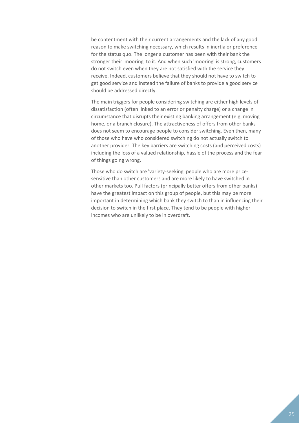be contentment with their current arrangements and the lack of any good reason to make switching necessary, which results in inertia or preference for the status quo. The longer a customer has been with their bank the stronger their 'mooring' to it. And when such 'mooring' is strong, customers do not switch even when they are not satisfied with the service they receive. Indeed, customers believe that they should not have to switch to get good service and instead the failure of banks to provide a good service should be addressed directly.

The main triggers for people considering switching are either high levels of dissatisfaction (often linked to an error or penalty charge) or a change in circumstance that disrupts their existing banking arrangement (e.g. moving home, or a branch closure). The attractiveness of offers from other banks does not seem to encourage people to consider switching. Even then, many of those who have who considered switching do not actually switch to another provider. The key barriers are switching costs (and perceived costs) including the loss of a valued relationship, hassle of the process and the fear of things going wrong.

Those who do switch are 'variety-seeking' people who are more pricesensitive than other customers and are more likely to have switched in other markets too. Pull factors (principally better offers from other banks) have the greatest impact on this group of people, but this may be more important in determining which bank they switch to than in influencing their decision to switch in the first place. They tend to be people with higher incomes who are unlikely to be in overdraft.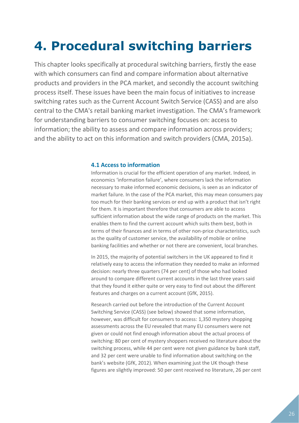# <span id="page-25-0"></span>**4. Procedural switching barriers**

This chapter looks specifically at procedural switching barriers, firstly the ease with which consumers can find and compare information about alternative products and providers in the PCA market, and secondly the account switching process itself. These issues have been the main focus of initiatives to increase switching rates such as the Current Account Switch Service (CASS) and are also central to the CMA's retail banking market investigation. The CMA's framework for understanding barriers to consumer switching focuses on: access to information; the ability to assess and compare information across providers; and the ability to act on this information and switch providers (CMA, 2015a).

#### <span id="page-25-1"></span>**4.1 Access to information**

Information is crucial for the efficient operation of any market. Indeed, in economics 'information failure', where consumers lack the information necessary to make informed economic decisions, is seen as an indicator of market failure. In the case of the PCA market, this may mean consumers pay too much for their banking services or end up with a product that isn't right for them. It is important therefore that consumers are able to access sufficient information about the wide range of products on the market. This enables them to find the current account which suits them best, both in terms of their finances and in terms of other non-price characteristics, such as the quality of customer service, the availability of mobile or online banking facilities and whether or not there are convenient, local branches.

In 2015, the majority of potential switchers in the UK appeared to find it relatively easy to access the information they needed to make an informed decision: nearly three quarters (74 per cent) of those who had looked around to compare different current accounts in the last three years said that they found it either quite or very easy to find out about the different features and charges on a current account (GfK, 2015).

Research carried out before the introduction of the Current Account Switching Service (CASS) (see below) showed that some information, however, was difficult for consumers to access: 1,350 mystery shopping assessments across the EU revealed that many EU consumers were not given or could not find enough information about the actual process of switching: 80 per cent of mystery shoppers received no literature about the switching process, while 44 per cent were not given guidance by bank staff, and 32 per cent were unable to find information about switching on the bank's website (GfK, 2012). When examining just the UK though these figures are slightly improved: 50 per cent received no literature, 26 per cent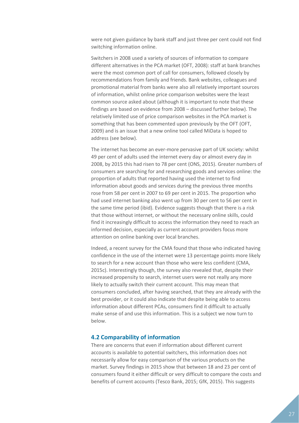were not given guidance by bank staff and just three per cent could not find switching information online.

Switchers in 2008 used a variety of sources of information to compare different alternatives in the PCA market (OFT, 2008): staff at bank branches were the most common port of call for consumers, followed closely by recommendations from family and friends. Bank websites, colleagues and promotional material from banks were also all relatively important sources of information, whilst online price comparison websites were the least common source asked about (although it is important to note that these findings are based on evidence from 2008 – discussed further below). The relatively limited use of price comparison websites in the PCA market is something that has been commented upon previously by the OFT (OFT, 2009) and is an issue that a new online tool called MiData is hoped to address (see below).

The internet has become an ever-more pervasive part of UK society: whilst 49 per cent of adults used the internet every day or almost every day in 2008, by 2015 this had risen to 78 per cent (ONS, 2015). Greater numbers of consumers are searching for and researching goods and services online: the proportion of adults that reported having used the internet to find information about goods and services during the previous three months rose from 58 per cent in 2007 to 69 per cent in 2015. The proportion who had used internet banking also went up from 30 per cent to 56 per cent in the same time period (ibid). Evidence suggests though that there is a risk that those without internet, or without the necessary online skills, could find it increasingly difficult to access the information they need to reach an informed decision, especially as current account providers focus more attention on online banking over local branches.

Indeed, a recent survey for the CMA found that those who indicated having confidence in the use of the internet were 13 percentage points more likely to search for a new account than those who were less confident (CMA, 2015c). Interestingly though, the survey also revealed that, despite their increased propensity to search, internet users were not really any more likely to actually switch their current account. This may mean that consumers concluded, after having searched, that they are already with the best provider, or it could also indicate that despite being able to access information about different PCAs, consumers find it difficult to actually make sense of and use this information. This is a subject we now turn to below.

#### <span id="page-26-0"></span>**4.2 Comparability of information**

There are concerns that even if information about different current accounts is available to potential switchers, this information does not necessarily allow for easy comparison of the various products on the market. Survey findings in 2015 show that between 18 and 23 per cent of consumers found it either difficult or very difficult to compare the costs and benefits of current accounts (Tesco Bank, 2015; GfK, 2015). This suggests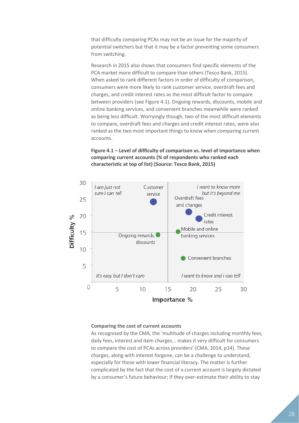that difficulty comparing PCAs may not be an issue for the majority of potential switchers but that it may be a factor preventing some consumers from switching.

Research in 2015 also shows that consumers find specific elements of the PCA market more difficult to compare than others (Tesco Bank, 2015). When asked to rank different factors in order of difficulty of comparison, consumers were more likely to rank customer service, overdraft fees and charges, and credit interest rates as the most difficult factor to compare between providers (see Figure 4.1). Ongoing rewards, discounts, mobile and online banking services, and convenient branches meanwhile were ranked as being less difficult. Worryingly though, two of the most difficult elements to compare, overdraft fees and charges and credit interest rates, were also ranked as the two most important things to know when comparing current accounts.

#### **Figure 4.1 – Level of difficulty of comparison vs. level of importance when comparing current accounts (% of respondents who ranked each characteristic at top of list) (Source: Tesco Bank, 2015)**



#### **Comparing the cost of current accounts**

As recognised by the CMA, the 'multitude of charges including monthly fees, daily fees, interest and item charges… makes it very difficult for consumers to compare the cost of PCAs across providers' (CMA, 2014, p14). These charges, along with interest forgone, can be a challenge to understand, especially for those with lower financial literacy. The matter is further complicated by the fact that the cost of a current account is largely dictated by a consumer's future behaviour; if they over-estimate their ability to stay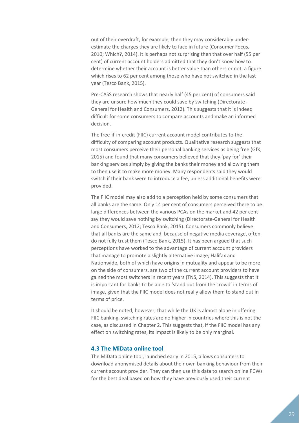out of their overdraft, for example, then they may considerably underestimate the charges they are likely to face in future (Consumer Focus, 2010; Which?, 2014). It is perhaps not surprising then that over half (55 per cent) of current account holders admitted that they don't know how to determine whether their account is better value than others or not, a figure which rises to 62 per cent among those who have not switched in the last year (Tesco Bank, 2015).

Pre-CASS research shows that nearly half (45 per cent) of consumers said they are unsure how much they could save by switching (Directorate-General for Health and Consumers, 2012). This suggests that it is indeed difficult for some consumers to compare accounts and make an informed decision.

The free-if-in-credit (FIIC) current account model contributes to the difficulty of comparing account products. Qualitative research suggests that most consumers perceive their personal banking services as being free (GfK, 2015) and found that many consumers believed that they 'pay for' their banking services simply by giving the banks their money and allowing them to then use it to make more money. Many respondents said they would switch if their bank were to introduce a fee, unless additional benefits were provided.

The FIIC model may also add to a perception held by some consumers that all banks are the same. Only 14 per cent of consumers perceived there to be large differences between the various PCAs on the market and 42 per cent say they would save nothing by switching (Directorate-General for Health and Consumers, 2012; Tesco Bank, 2015). Consumers commonly believe that all banks are the same and, because of negative media coverage, often do not fully trust them (Tesco Bank, 2015). It has been argued that such perceptions have worked to the advantage of current account providers that manage to promote a slightly alternative image; Halifax and Nationwide, both of which have origins in mutuality and appear to be more on the side of consumers, are two of the current account providers to have gained the most switchers in recent years (TNS, 2014). This suggests that it is important for banks to be able to 'stand out from the crowd' in terms of image, given that the FIIC model does not really allow them to stand out in terms of price.

It should be noted, however, that while the UK is almost alone in offering FIIC banking, switching rates are no higher in countries where this is not the case, as discussed in Chapter 2. This suggests that, if the FIIC model has any effect on switching rates, its impact is likely to be only marginal.

#### <span id="page-28-0"></span>**4.3 The MiData online tool**

The MiData online tool, launched early in 2015, allows consumers to download anonymised details about their own banking behaviour from their current account provider. They can then use this data to search online PCWs for the best deal based on how they have previously used their current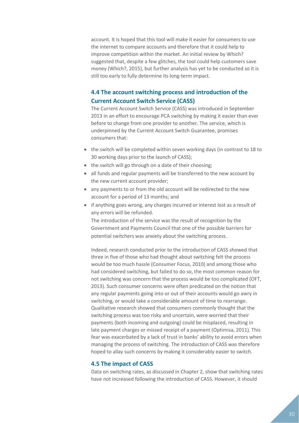account. It is hoped that this tool will make it easier for consumers to use the internet to compare accounts and therefore that it could help to improve competition within the market. An initial review by Which? suggested that, despite a few glitches, the tool could help customers save money (Which?, 2015), but further analysis has yet to be conducted so it is still too early to fully determine its long-term impact.

### <span id="page-29-0"></span>**4.4 The account switching process and introduction of the Current Account Switch Service (CASS)**

The Current Account Switch Service (CASS) was introduced in September 2013 in an effort to encourage PCA switching by making it easier than ever before to change from one provider to another. The service, which is underpinned by the Current Account Switch Guarantee, promises consumers that:

- the switch will be completed within seven working days (in contrast to 18 to 30 working days prior to the launch of CASS);
- the switch will go through on a date of their choosing;
- all funds and regular payments will be transferred to the new account by the new current account provider;
- any payments to or from the old account will be redirected to the new account for a period of 13 months; and
- if anything goes wrong, any charges incurred or interest lost as a result of any errors will be refunded.

The introduction of the service was the result of recognition by the Government and Payments Council that one of the possible barriers for potential switchers was anxiety about the switching process.

Indeed, research conducted prior to the introduction of CASS showed that three in five of those who had thought about switching felt the process would be too much hassle (Consumer Focus, 2010) and among those who had considered switching, but failed to do so, the most common reason for not switching was concern that the process would be too complicated (OFT, 2013). Such consumer concerns were often predicated on the notion that any regular payments going into or out of their accounts would go awry in switching, or would take a considerable amount of time to rearrange. Qualitative research showed that consumers commonly thought that the switching process was too risky and uncertain, were worried that their payments (both incoming and outgoing) could be misplaced, resulting in late payment charges or missed receipt of a payment (Optimisa, 2011). This fear was exacerbated by a lack of trust in banks' ability to avoid errors when managing the process of switching. The introduction of CASS was therefore hoped to allay such concerns by making it considerably easier to switch.

#### <span id="page-29-1"></span>**4.5 The impact of CASS**

Data on switching rates, as discussed in Chapter 2, show that switching rates have not increased following the introduction of CASS. However, it should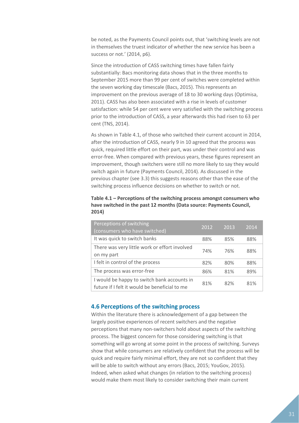be noted, as the Payments Council points out, that 'switching levels are not in themselves the truest indicator of whether the new service has been a success or not.' (2014, p6).

Since the introduction of CASS switching times have fallen fairly substantially: Bacs monitoring data shows that in the three months to September 2015 more than 99 per cent of switches were completed within the seven working day timescale (Bacs, 2015). This represents an improvement on the previous average of 18 to 30 working days (Optimisa, 2011). CASS has also been associated with a rise in levels of customer satisfaction: while 54 per cent were very satisfied with the switching process prior to the introduction of CASS, a year afterwards this had risen to 63 per cent (TNS, 2014).

As shown in Table 4.1, of those who switched their current account in 2014, after the introduction of CASS, nearly 9 in 10 agreed that the process was quick, required little effort on their part, was under their control and was error-free. When compared with previous years, these figures represent an improvement, though switchers were still no more likely to say they would switch again in future (Payments Council, 2014). As discussed in the previous chapter (see 3.3) this suggests reasons other than the ease of the switching process influence decisions on whether to switch or not.

**Table 4.1 – Perceptions of the switching process amongst consumers who have switched in the past 12 months (Data source: Payments Council, 2014)**

| Perceptions of switching<br>(consumers who have switched)                                    | 2012 | 2013 | 2014 |
|----------------------------------------------------------------------------------------------|------|------|------|
| It was quick to switch banks                                                                 | 88%  | 85%  | 88%  |
| There was very little work or effort involved<br>on my part                                  | 74%  | 76%  | 88%  |
| I felt in control of the process                                                             | 82%  | 80%  | 88%  |
| The process was error-free                                                                   | 86%  | 81%  | 89%  |
| I would be happy to switch bank accounts in<br>future if I felt it would be beneficial to me | 81%  | 82%  | 81%  |

#### <span id="page-30-0"></span>**4.6 Perceptions of the switching process**

Within the literature there is acknowledgement of a gap between the largely positive experiences of recent switchers and the negative perceptions that many non-switchers hold about aspects of the switching process. The biggest concern for those considering switching is that something will go wrong at some point in the process of switching. Surveys show that while consumers are relatively confident that the process will be quick and require fairly minimal effort, they are not so confident that they will be able to switch without any errors (Bacs, 2015; YouGov, 2015). Indeed, when asked what changes (in relation to the switching process) would make them most likely to consider switching their main current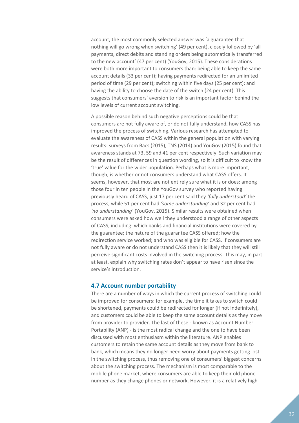account, the most commonly selected answer was 'a guarantee that nothing will go wrong when switching' (49 per cent), closely followed by 'all payments, direct debits and standing orders being automatically transferred to the new account' (47 per cent) (YouGov, 2015). These considerations were both more important to consumers than: being able to keep the same account details (33 per cent); having payments redirected for an unlimited period of time (29 per cent); switching within five days (25 per cent); and having the ability to choose the date of the switch (24 per cent). This suggests that consumers' aversion to risk is an important factor behind the low levels of current account switching.

A possible reason behind such negative perceptions could be that consumers are not fully aware of, or do not fully understand, how CASS has improved the process of switching. Various research has attempted to evaluate the awareness of CASS within the general population with varying results: surveys from Bacs (2015), TNS (2014) and YouGov (2015) found that awareness stands at 73, 59 and 41 per cent respectively. Such variation may be the result of differences in question wording, so it is difficult to know the 'true' value for the wider population. Perhaps what is more important, though, is whether or not consumers understand what CASS offers. It seems, however, that most are not entirely sure what it is or does: among those four in ten people in the YouGov survey who reported having previously heard of CASS, just 17 per cent said they *'fully understood'* the process, while 51 per cent had *'some understanding'* and 32 per cent had *'no understanding'* (YouGov, 2015). Similar results were obtained when consumers were asked how well they understood a range of other aspects of CASS, including: which banks and financial institutions were covered by the guarantee; the nature of the guarantee CASS offered; how the redirection service worked; and who was eligible for CASS. If consumers are not fully aware or do not understand CASS then it is likely that they will still perceive significant costs involved in the switching process. This may, in part at least, explain why switching rates don't appear to have risen since the service's introduction.

#### <span id="page-31-0"></span>**4.7 Account number portability**

There are a number of ways in which the current process of switching could be improved for consumers: for example, the time it takes to switch could be shortened, payments could be redirected for longer (if not indefinitely), and customers could be able to keep the same account details as they move from provider to provider. The last of these - known as Account Number Portability (ANP) - is the most radical change and the one to have been discussed with most enthusiasm within the literature. ANP enables customers to retain the same account details as they move from bank to bank, which means they no longer need worry about payments getting lost in the switching process, thus removing one of consumers' biggest concerns about the switching process. The mechanism is most comparable to the mobile phone market, where consumers are able to keep their old phone number as they change phones or network. However, it is a relatively high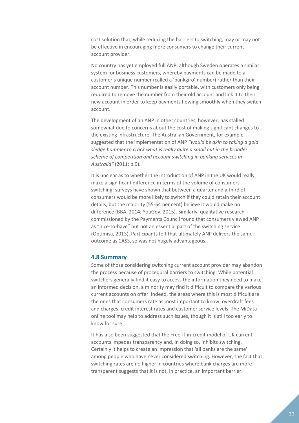cost solution that, while reducing the barriers to switching, may or may not be effective in encouraging more consumers to change their current account provider.

No country has yet employed full ANP, although Sweden operates a similar system for business customers, whereby payments can be made to a customer's unique number (called a 'bankgiro' number) rather than their account number. This number is easily portable, with customers only being required to remove the number from their old account and link it to their new account in order to keep payments flowing smoothly when they switch account.

The development of an ANP in other countries, however, has stalled somewhat due to concerns about the cost of making significant changes to the existing infrastructure. The Australian Government, for example, suggested that the implementation of ANP *"would be akin to taking a gold sledge hammer to crack what is really quite a small nut in the broader scheme of competition and account switching in banking services in Australia"* (2011: p.9).

It is unclear as to whether the introduction of ANP in the UK would really make a significant difference in terms of the volume of consumers switching: surveys have shown that between a quarter and a third of consumers would be more likely to switch if they could retain their account details, but the majority (55-64 per cent) believe it would make no difference (BBA, 2014; YouGov, 2015). Similarly, qualitative research commissioned by the Payments Council found that consumers viewed ANP as "nice-to-have" but not an essential part of the switching service (Optimisa, 2013). Participants felt that ultimately ANP delivers the same outcome as CASS, so was not hugely advantageous.

#### <span id="page-32-0"></span>**4.8 Summary**

Some of those considering switching current account provider may abandon the process because of procedural barriers to switching. While potential switchers generally find it easy to access the information they need to make an informed decision, a minority may find it difficult to compare the various current accounts on offer. Indeed, the areas where this is most difficult are the ones that consumers rate as most important to know: overdraft fees and charges; credit interest rates and customer service levels. The MiData online tool may help to address such issues, though it is still too early to know for sure.

It has also been suggested that the Free-if-in-credit model of UK current accounts impedes transparency and, in doing so, inhibits switching. Certainly it helps to create an impression that 'all banks are the same' among people who have never considered switching. However, the fact that switching rates are no higher in countries where bank charges are more transparent suggests that it is not, in practice, an important barrier.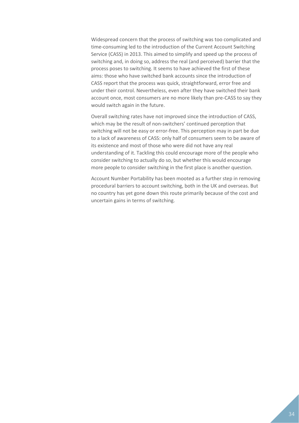Widespread concern that the process of switching was too complicated and time-consuming led to the introduction of the Current Account Switching Service (CASS) in 2013. This aimed to simplify and speed up the process of switching and, in doing so, address the real (and perceived) barrier that the process poses to switching. It seems to have achieved the first of these aims: those who have switched bank accounts since the introduction of CASS report that the process was quick, straightforward, error free and under their control. Nevertheless, even after they have switched their bank account once, most consumers are no more likely than pre-CASS to say they would switch again in the future.

Overall switching rates have not improved since the introduction of CASS, which may be the result of non-switchers' continued perception that switching will not be easy or error-free. This perception may in part be due to a lack of awareness of CASS: only half of consumers seem to be aware of its existence and most of those who were did not have any real understanding of it. Tackling this could encourage more of the people who consider switching to actually do so, but whether this would encourage more people to consider switching in the first place is another question.

Account Number Portability has been mooted as a further step in removing procedural barriers to account switching, both in the UK and overseas. But no country has yet gone down this route primarily because of the cost and uncertain gains in terms of switching.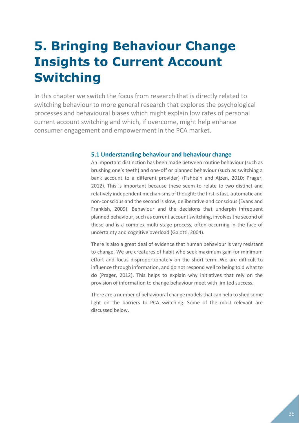# <span id="page-34-0"></span>**5. Bringing Behaviour Change Insights to Current Account Switching**

In this chapter we switch the focus from research that is directly related to switching behaviour to more general research that explores the psychological processes and behavioural biases which might explain low rates of personal current account switching and which, if overcome, might help enhance consumer engagement and empowerment in the PCA market.

#### <span id="page-34-1"></span>**5.1 Understanding behaviour and behaviour change**

An important distinction has been made between routine behaviour (such as brushing one's teeth) and one-off or planned behaviour (such as switching a bank account to a different provider) (Fishbein and Ajzen, 2010; Prager, 2012). This is important because these seem to relate to two distinct and relatively independent mechanisms of thought: the first is fast, automatic and non-conscious and the second is slow, deliberative and conscious (Evans and Frankish, 2009). Behaviour and the decisions that underpin infrequent planned behaviour, such as current account switching, involves the second of these and is a complex multi-stage process, often occurring in the face of uncertainty and cognitive overload (Galotti, 2004).

There is also a great deal of evidence that human behaviour is very resistant to change. We are creatures of habit who seek maximum gain for minimum effort and focus disproportionately on the short-term. We are difficult to influence through information, and do not respond well to being told what to do (Prager, 2012). This helps to explain why initiatives that rely on the provision of information to change behaviour meet with limited success.

There are a number of behavioural change models that can help to shed some light on the barriers to PCA switching. Some of the most relevant are discussed below.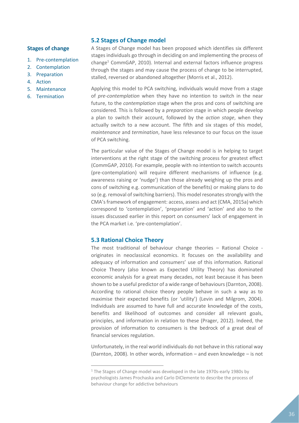#### <span id="page-35-0"></span>**5.2 Stages of Change model**

#### **Stages of change**

- 1. Pre-contemplation
- 2. Contemplation
- 3. Preparation
- 4. Action
- 5. Maintenance
- 6. Termination

A Stages of Change model has been proposed which identifies six different stages individuals go through in deciding on and implementing the process of change<sup>1</sup> CommGAP, 2010). Internal and external factors influence progress through the stages and may cause the process of change to be interrupted, stalled, reversed or abandoned altogether (Morris et al., 2012).

Applying this model to PCA switching, individuals would move from a stage of *pre-contemplation* when they have no intention to switch in the near future, to the *contemplation* stage when the pros and cons of switching are considered. This is followed by a *preparation* stage in which people develop a plan to switch their account, followed by the *action stage*, when they actually switch to a new account. The fifth and six stages of this model, *maintenance* and *termination*, have less relevance to our focus on the issue of PCA switching.

The particular value of the Stages of Change model is in helping to target interventions at the right stage of the switching process for greatest effect (CommGAP, 2010). For example, people with no intention to switch accounts (pre-contemplation) will require different mechanisms of influence (e.g. awareness raising or 'nudge') than those already weighing up the pros and cons of switching e.g. communication of the benefits) or making plans to do so (e.g. removal of switching barriers). This model resonates strongly with the CMA's framework of engagement: access, assess and act (CMA, 2015a) which correspond to 'contemplation', 'preparation' and 'action' and also to the issues discussed earlier in this report on consumers' lack of engagement in the PCA market i.e. 'pre-contemplation'.

#### <span id="page-35-1"></span>**5.3 Rational Choice Theory**

1

The most traditional of behaviour change theories – Rational Choice originates in neoclassical economics. It focuses on the availability and adequacy of information and consumers' use of this information. Rational Choice Theory (also known as Expected Utility Theory) has dominated economic analysis for a great many decades, not least because it has been shown to be a useful predictor of a wide range of behaviours (Darnton, 2008). According to rational choice theory people behave in such a way as to maximise their expected benefits (or 'utility') (Levin and Milgrom, 2004). Individuals are assumed to have full and accurate knowledge of the costs, benefits and likelihood of outcomes and consider all relevant goals, principles, and information in relation to these (Prager, 2012). Indeed, the provision of information to consumers is the bedrock of a great deal of financial services regulation.

Unfortunately, in the real world individuals do not behave in this rational way (Darnton, 2008). In other words, information – and even knowledge – is not

<sup>&</sup>lt;sup>1</sup> The Stages of Change model was developed in the late 1970s-early 1980s by psychologists James Prochaska and Carlo DiClemente to describe the process of behaviour change for addictive behaviours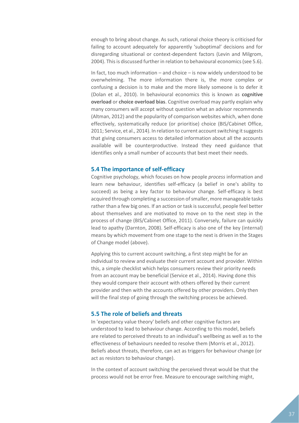enough to bring about change. As such, rational choice theory is criticised for failing to account adequately for apparently 'suboptimal' decisions and for disregarding situational or context-dependent factors (Levin and Milgrom, 2004). This is discussed further in relation to behavioural economics (see 5.6).

In fact, too much information – and choice – is now widely understood to be overwhelming. The more information there is, the more complex or confusing a decision is to make and the more likely someone is to defer it (Dolan et al., 2010). In behavioural economics this is known as **cognitive overload** or **choice overload bias**. Cognitive overload may partly explain why many consumers will accept without question what an advisor recommends (Altman, 2012) and the popularity of comparison websites which, when done effectively, systematically reduce (or prioritise) choice (BIS/Cabinet Office, 2011; Service, et al., 2014). In relation to current account switching it suggests that giving consumers access to detailed information about all the accounts available will be counterproductive. Instead they need guidance that identifies only a small number of accounts that best meet their needs.

#### <span id="page-36-0"></span>**5.4 The importance of self-efficacy**

Cognitive psychology, which focuses on how people *process* information and learn new behaviour, identifies self-efficacy (a belief in one's ability to succeed) as being a key factor to behaviour change. Self-efficacy is best acquired through completing a succession of smaller, more manageable tasks rather than a few big ones. If an action or task is successful, people feel better about themselves and are motivated to move on to the next step in the process of change (BIS/Cabinet Office, 2011). Conversely, failure can quickly lead to apathy (Darnton, 2008). Self-efficacy is also one of the key (internal) means by which movement from one stage to the next is driven in the Stages of Change model (above).

Applying this to current account switching, a first step might be for an individual to review and evaluate their current account and provider. Within this, a simple checklist which helps consumers review their priority needs from an account may be beneficial (Service et al., 2014). Having done this they would compare their account with others offered by their current provider and then with the accounts offered by other providers. Only then will the final step of going through the switching process be achieved.

#### <span id="page-36-1"></span>**5.5 The role of beliefs and threats**

In 'expectancy value theory' beliefs and other cognitive factors are understood to lead to behaviour change. According to this model, beliefs are related to perceived threats to an individual's wellbeing as well as to the effectiveness of behaviours needed to resolve them (Morris et al., 2012). Beliefs about threats, therefore, can act as triggers for behaviour change (or act as resistors to behaviour change).

In the context of account switching the perceived threat would be that the process would not be error free. Measure to encourage switching might,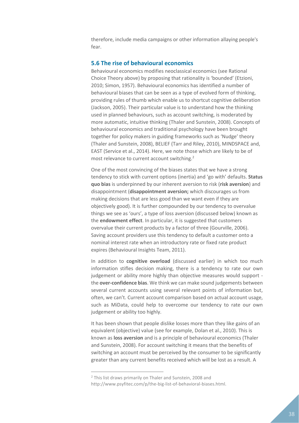therefore, include media campaigns or other information allaying people's fear.

#### <span id="page-37-0"></span>**5.6 The rise of behavioural economics**

Behavioural economics modifies neoclassical economics (see Rational Choice Theory above) by proposing that rationality is 'bounded' (Etzioni, 2010; Simon, 1957). Behavioural economics has identified a number of behavioural biases that can be seen as a type of evolved form of thinking, providing rules of thumb which enable us to shortcut cognitive deliberation (Jackson, 2005). Their particular value is to understand how the thinking used in planned behaviours, such as account switching, is moderated by more automatic, intuitive thinking (Thaler and Sunstein, 2008). Concepts of behavioural economics and traditional psychology have been brought together for policy makers in guiding frameworks such as 'Nudge' theory (Thaler and Sunstein, 2008), BELIEF (Tarr and Riley, 2010), MINDSPACE and, EAST (Service et al., 2014). Here, we note those which are likely to be of most relevance to current account switching.<sup>2</sup>

One of the most convincing of the biases states that we have a strong tendency to stick with current options (inertia) and 'go with' defaults. **Status quo bias** is underpinned by our inherent aversion to risk (**risk aversion**) and disappointment (**disappointment aversion;** which discourages us from making decisions that are less good than we want even if they are objectively good). It is further compounded by our tendency to overvalue things we see as 'ours', a type of loss aversion (discussed below) known as the **endowment effect**. In particular, it is suggested that customers overvalue their current products by a factor of three (Gourville, 2006). Saving account providers use this tendency to default a customer onto a nominal interest rate when an introductory rate or fixed rate product expires (Behavioural Insights Team, 2011).

In addition to **cognitive overload** (discussed earlier) in which too much information stifles decision making, there is a tendency to rate our own judgement or ability more highly than objective measures would support the **over-confidence bias**. We think we can make sound judgements between several current accounts using several relevant points of information but, often, we can't. Current account comparison based on actual account usage, such as MiData, could help to overcome our tendency to rate our own judgement or ability too highly.

It has been shown that people dislike losses more than they like gains of an equivalent (objective) value (see for example, Dolan et al., 2010). This is known as **loss aversion** and is a principle of behavioural economics (Thaler and Sunstein, 2008). For account switching it means that the benefits of switching an account must be perceived by the consumer to be significantly greater than any current benefits received which will be lost as a result. A

 $\overline{a}$ 

<sup>2</sup> This list draws primarily on Thaler and Sunstein, 2008 and http://www.psyfitec.com/p/the-big-list-of-behavioral-biases.html.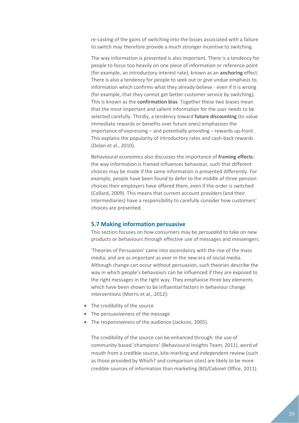re-casting of the gains of switching into the losses associated with a failure to switch may therefore provide a much stronger incentive to switching.

The way information is presented is also important. There is a tendency for people to focus too heavily on one piece of information or reference point (for example, an introductory interest rate), known as an **anchoring** effect. There is also a tendency for people to seek out or give undue emphasis to, information which confirms what they already believe - even if it is wrong (for example, that they cannot get better customer service by switching). This is known as the **confirmation bias**. Together these two biases mean that the most important and salient information for the user needs to be selected carefully. Thirdly, a tendency toward **future discounting** (to value immediate rewards or benefits over future ones) emphasises the importance of expressing – and potentially providing – rewards up-front. This explains the popularity of introductory rates and cash-back rewards (Dolan et al., 2010).

Behavioural economics also discusses the importance of **framing effects**: the way information is framed influences behaviour, such that different choices may be made if the same information is presented differently. For example, people have been found to defer to the middle of three pension choices their employers have offered them, even if the order is switched (Collard, 2009). This means that current account providers (and their intermediaries) have a responsibility to carefully consider how customers' choices are presented.

#### <span id="page-38-0"></span>**5.7 Making information persuasive**

This section focuses on how consumers may be *persuaded* to take on new products or behaviours through effective use of messages and messengers.

'Theories of Persuasion' came into ascendancy with the rise of the mass media, and are as important as ever in the new era of social media. Although change can occur without persuasion, such theories describe the way in which people's behaviours can be influenced if they are exposed to the right messages in the right way. They emphasise three key elements which have been shown to be influential factors in behaviour change interventions (Morris et al., 2012):

- The credibility of the source
- The persuasiveness of the message
- The responsiveness of the audience (Jackson, 2005).

The credibility of the source can be enhanced through: the use of community-based 'champions' (Behavioural Insights Team, 2011), word of mouth from a credible source, kite-marking and independent review (such as those provided by Which? and comparison sites) are likely to be more credible sources of information than marketing (BIS/Cabinet Office, 2011).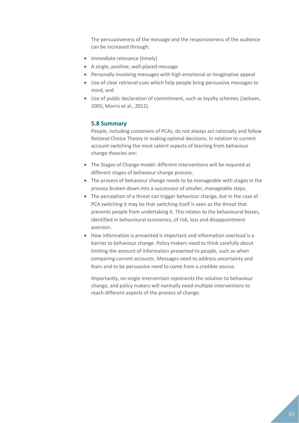The persuasiveness of the message and the responsiveness of the audience can be increased through:

- Immediate relevance (timely)
- A single, positive, well-placed message
- Personally-involving messages with high emotional or imaginative appeal
- Use of clear retrieval cues which help people bring persuasive messages to mind, and
- Use of public declaration of commitment, such as loyalty schemes (Jackson, 2005; Morris et al., 2012).

#### <span id="page-39-0"></span>**5.8 Summary**

People, including customers of PCAs, do not always act rationally and follow Rational Choice Theory in making optimal decisions. In relation to current account switching the most salient aspects of learning from behaviour change theories are:

- The Stages of Change model: different interventions will be required at different stages of behaviour change process.
- The process of behaviour change needs to be manageable with stages in the process broken down into a succession of smaller, manageable steps.
- The perception of a threat can trigger behaviour change, but in the case of PCA switching it may be that switching itself is seen as the threat that prevents people from undertaking it. This relates to the behavioural biases, identified in behavioural economics, of risk, loss and disappointment aversion.
- How information is presented is important and information overload is a barrier to behaviour change. Policy makers need to think carefully about limiting the amount of information presented to people, such as when comparing current accounts. Messages need to address uncertainty and fears and to be persuasive need to come from a credible source.

Importantly, no single intervention represents the solution to behaviour change, and policy makers will normally need multiple interventions to reach different aspects of the process of change.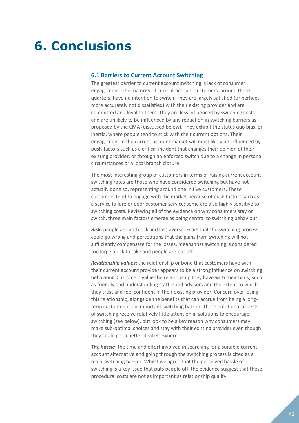## <span id="page-40-0"></span>**6. Conclusions**

#### <span id="page-40-1"></span>**6.1 Barriers to Current Account Switching**

The greatest barrier to current account switching is lack of consumer engagement. The majority of current account customers, around threequarters, have no intention to switch. They are largely satisfied (or perhaps more accurately not dissatisfied) with their existing provider and are committed and loyal to them. They are less influenced by switching costs and are unlikely to be influenced by any reduction in switching barriers as proposed by the CMA (discussed below). They exhibit the status quo bias, or inertia, where people tend to stick with their current options. Their engagement in the current account market will most likely be influenced by push-factors such as a critical incident that changes their opinion of their existing provider, or through an enforced switch due to a change in personal circumstances or a local branch closure.

The most interesting group of customers in terms of raising current account switching rates are those who have considered switching but have not actually done so, representing around one in five customers. These customers tend to engage with the market because of push factors such as a service failure or poor customer service; some are also highly sensitive to switching costs. Reviewing all of the evidence on why consumers stay or switch, three main factors emerge as being central to switching behaviour:

*Risk***:** people are both risk and loss averse. Fears that the switching process could go wrong and perceptions that the gains from switching will not sufficiently compensate for the losses, means that switching is considered too large a risk to take and people are put off.

*Relationship values*: the relationship or bond that customers have with their current account provider appears to be a strong influence on switching behaviour. Customers value the relationship they have with their bank, such as friendly and understanding staff, good advisors and the extent to which they trust and feel confident in their existing provider. Concern over losing this relationship, alongside the benefits that can accrue from being a longterm customer, is an important switching barrier. These emotional aspects of switching receive relatively little attention in solutions to encourage switching (see below), but look to be a key reason why consumers may make sub-optimal choices and stay with their existing provider even though they could get a better deal elsewhere.

**The hassle**: the time and effort involved in searching for a suitable current account alternative and going through the switching process is cited as a main switching barrier. Whilst we agree that the perceived hassle of switching is a key issue that puts people off, the evidence suggest that these procedural costs are not as important as relationship quality.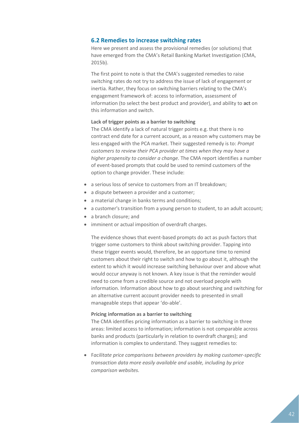#### <span id="page-41-0"></span>**6.2 Remedies to increase switching rates**

Here we present and assess the provisional remedies (or solutions) that have emerged from the CMA's Retail Banking Market Investigation (CMA, 2015b).

The first point to note is that the CMA's suggested remedies to raise switching rates do not try to address the issue of lack of engagement or inertia. Rather, they focus on switching barriers relating to the CMA's engagement framework of: access to information, assessment of information (to select the best product and provider), and ability to **act** on this information and switch.

#### **Lack of trigger points as a barrier to switching**

The CMA identify a lack of natural trigger points e.g. that there is no contract end date for a current account, as a reason why customers may be less engaged with the PCA market. Their suggested remedy is to: *Prompt customers to review their PCA provider at times when they may have a higher propensity to consider a change.* The CMA report identifies a number of event-based prompts that could be used to remind customers of the option to change provider. These include:

- a serious loss of service to customers from an IT breakdown;
- a dispute between a provider and a customer;
- a material change in banks terms and conditions;
- a customer's transition from a young person to student, to an adult account;
- a branch closure; and
- imminent or actual imposition of overdraft charges.

The evidence shows that event-based prompts do act as push factors that trigger some customers to think about switching provider. Tapping into these trigger events would, therefore, be an opportune time to remind customers about their right to switch and how to go about it, although the extent to which it would increase switching behaviour over and above what would occur anyway is not known. A key issue is that the reminder would need to come from a credible source and not overload people with information. Information about how to go about searching and switching for an alternative current account provider needs to presented in small manageable steps that appear 'do-able'.

#### **Pricing information as a barrier to switching**

The CMA identifies pricing information as a barrier to switching in three areas: limited access to information; information is not comparable across banks and products (particularly in relation to overdraft charges); and information is complex to understand. They suggest remedies to:

 F*acilitate price comparisons between providers by making customer-specific transaction data more easily available and usable, including by price comparison websites.*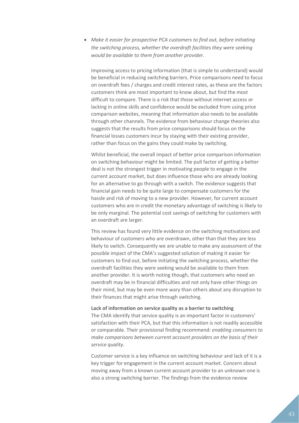*Make it easier for prospective PCA customers to find out, before initiating the switching process, whether the overdraft facilities they were seeking would be available to them from another provider.*

Improving access to pricing information (that is simple to understand) would be beneficial in reducing switching barriers. Price comparisons need to focus on overdraft fees / charges and credit interest rates, as these are the factors customers think are most important to know about, but find the most difficult to compare. There is a risk that those without internet access or lacking in online skills and confidence would be excluded from using price comparison websites, meaning that information also needs to be available through other channels. The evidence from behaviour change theories also suggests that the results from price comparisons should focus on the financial losses customers incur by staying with their existing provider, rather than focus on the gains they could make by switching.

Whilst beneficial, the overall impact of better price comparison information on switching behaviour might be limited. The pull factor of getting a better deal is not the strongest trigger in motivating people to engage in the current account market, but does influence those who are already looking for an alternative to go through with a switch. The evidence suggests that financial gain needs to be quite large to compensate customers for the hassle and risk of moving to a new provider. However, for current account customers who are in credit the monetary advantage of switching is likely to be only marginal. The potential cost savings of switching for customers with an overdraft are larger.

This review has found very little evidence on the switching motivations and behaviour of customers who are overdrawn, other than that they are less likely to switch. Consequently we are unable to make any assessment of the possible impact of the CMA's suggested solution of making it easier for customers to find out, before initiating the switching process, whether the overdraft facilities they were seeking would be available to them from another provider. It is worth noting though, that customers who need an overdraft may be in financial difficulties and not only have other things on their mind, but may be even more wary than others about any disruption to their finances that might arise through switching.

#### **Lack of information on service quality as a barrier to switching**

The CMA identify that service quality is an important factor in customers' satisfaction with their PCA, but that this information is not readily accessible or comparable. Their provisional finding recommend: *enabling consumers to make comparisons between current account providers on the basis of their service quality.*

Customer service is a key influence on switching behaviour and lack of it is a key trigger for engagement in the current account market. Concern about moving away from a known current account provider to an unknown one is also a strong switching barrier. The findings from the evidence review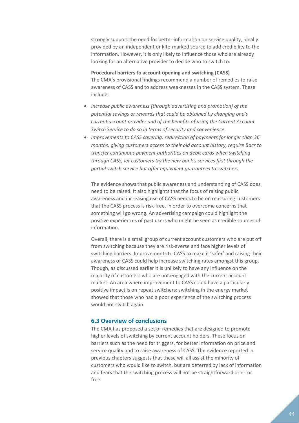strongly support the need for better information on service quality, ideally provided by an independent or kite-marked source to add credibility to the information. However, it is only likely to influence those who are already looking for an alternative provider to decide who to switch to.

#### **Procedural barriers to account opening and switching (CASS)**

The CMA's provisional findings recommend a number of remedies to raise awareness of CASS and to address weaknesses in the CASS system. These include:

- *Increase public awareness (through advertising and promotion) of the potential savings or rewards that could be obtained by changing one's current account provider and of the benefits of using the Current Account Switch Service to do so in terms of security and convenience*.
- *Improvements to CASS covering: redirection of payments for longer than 36 months, giving customers access to their old account history, require Bacs to transfer continuous payment authorities on debit cards when switching through CASS, let customers try the new bank's services first through the partial switch service but offer equivalent guarantees to switchers.*

The evidence shows that public awareness and understanding of CASS does need to be raised. It also highlights that the focus of raising public awareness and increasing use of CASS needs to be on reassuring customers that the CASS process is risk-free, in order to overcome concerns that something will go wrong. An advertising campaign could highlight the positive experiences of past users who might be seen as credible sources of information.

Overall, there is a small group of current account customers who are put off from switching because they are risk-averse and face higher levels of switching barriers. Improvements to CASS to make it 'safer' and raising their awareness of CASS could help increase switching rates amongst this group. Though, as discussed earlier it is unlikely to have any influence on the majority of customers who are not engaged with the current account market. An area where improvement to CASS could have a particularly positive impact is on repeat switchers: switching in the energy market showed that those who had a poor experience of the switching process would not switch again.

#### <span id="page-43-0"></span>**6.3 Overview of conclusions**

The CMA has proposed a set of remedies that are designed to promote higher levels of switching by current account holders. These focus on barriers such as the need for triggers, for better information on price and service quality and to raise awareness of CASS. The evidence reported in previous chapters suggests that these will all assist the minority of customers who would like to switch, but are deterred by lack of information and fears that the switching process will not be straightforward or error free.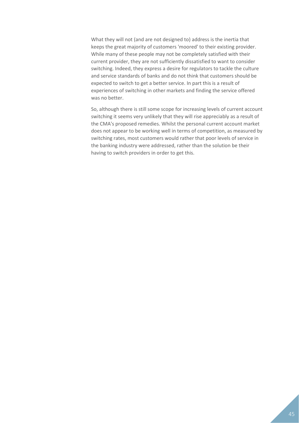What they will not (and are not designed to) address is the inertia that keeps the great majority of customers 'moored' to their existing provider. While many of these people may not be completely satisfied with their current provider, they are not sufficiently dissatisfied to want to consider switching. Indeed, they express a desire for regulators to tackle the culture and service standards of banks and do not think that customers should be expected to switch to get a better service. In part this is a result of experiences of switching in other markets and finding the service offered was no better.

So, although there is still some scope for increasing levels of current account switching it seems very unlikely that they will rise appreciably as a result of the CMA's proposed remedies. Whilst the personal current account market does not appear to be working well in terms of competition, as measured by switching rates, most customers would rather that poor levels of service in the banking industry were addressed, rather than the solution be their having to switch providers in order to get this.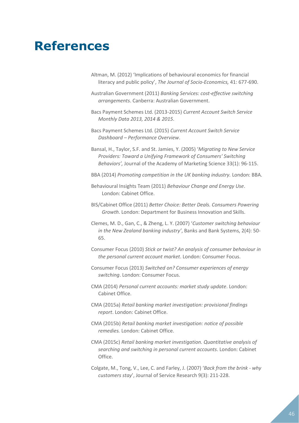### <span id="page-45-0"></span>**References**

- Altman, M. (2012) 'Implications of behavioural economics for financial literacy and public policy', *The Journal of Socio-Economics,* 41: 677-690.
- Australian Government (2011) *Banking Services: cost-effective switching arrangements*. Canberra: Australian Government.
- Bacs Payment Schemes Ltd. (2013-2015) *Current Account Switch Service Monthly Data 2013, 2014 & 2015*.
- Bacs Payment Schemes Ltd. (2015) *Current Account Switch Service Dashboard – Performance Overview*.
- Bansal, H., Taylor, S.F. and St. Jamies, Y. (2005) '*Migrating to New Service Providers: Toward a Unifying Framework of Consumers' Switching Behaviors',* Journal of the Academy of Marketing Science 33(1): 96-115.
- BBA (2014) *Promoting competition in the UK banking industry.* London: BBA.
- Behavioural Insights Team (2011) *Behaviour Change and Energy Use*. London: Cabinet Office.
- BIS/Cabinet Office (2011) *Better Choice: Better Deals. Consumers Powering Growth*. London: Department for Business Innovation and Skills.
- Clemes, M. D., Gan, C., & Zheng, L. Y. (2007) '*Customer switching behaviour in the New Zealand banking industry'*, Banks and Bank Systems, 2(4): 50- 65.
- Consumer Focus (2010) *Stick or twist? An analysis of consumer behaviour in the personal current account market*. London: Consumer Focus.
- Consumer Focus (2013) *Switched on? Consumer experiences of energy switching*. London: Consumer Focus.
- CMA (2014) *Personal current accounts: market study update*. London: Cabinet Office.
- CMA (2015a) *Retail banking market investigation: provisional findings report*. London: Cabinet Office.
- CMA (2015b) *Retail banking market investigation: notice of possible remedies.* London: Cabinet Office.
- CMA (2015c) *Retail banking market investigation. Quantitative analysis of searching and switching in personal current accounts*. London: Cabinet Office.
- Colgate, M., Tong, V., Lee, C. and Farley, J. (2007) '*Back from the brink - why customers stay*', Journal of Service Research 9(3): 211-228.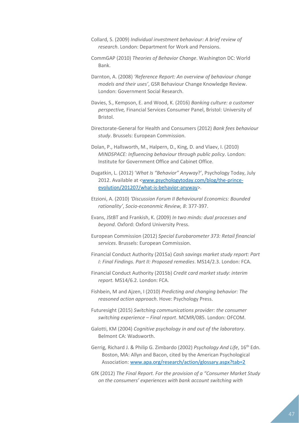Collard, S. (2009) *Individual investment behaviour: A brief review of research*. London: Department for Work and Pensions.

- CommGAP (2010) *Theories of Behavior Change*. Washington DC: World Bank.
- Darnton, A. (2008) *'Reference Report: An overview of behaviour change models and their uses'*, GSR Behaviour Change Knowledge Review. London: Government Social Research.
- Davies, S., Kempson, E. and Wood, K. (2016) *Banking culture: a customer perspective,* Financial Services Consumer Panel, Bristol: University of Bristol.
- Directorate-General for Health and Consumers (2012) *Bank fees behaviour study*. Brussels: European Commission.
- Dolan, P., Hallsworth, M., Halpern, D., King, D. and Vlaev, I. (2010) *MINDSPACE: Influencing behaviour through public policy*. London: Institute for Government Office and Cabinet Office.
- Dugatkin, L. (2012) '*What Is "Behavior" Anyway*?', Psychology Today, July 2012. Available at [<www.psychologytoday.com/blog/the-prince](http://www.psychologytoday.com/blog/the-prince-evolution/201207/what-is-behavior-anyway)[evolution/201207/what-is-behavior-anyway>](http://www.psychologytoday.com/blog/the-prince-evolution/201207/what-is-behavior-anyway).
- Etzioni, A. (2010) *'Discussion Forum II Behavioural Economics: Bounded rationality'*, *Socio-econonmic Review, 8*: 377-397.
- Evans, JStBT and Frankish, K. (2009) *In two minds: dual processes and beyond*. Oxford: Oxford University Press.
- European Commission (2012) *Special Eurobarometer 373: Retail financial services*. Brussels: European Commission.
- Financial Conduct Authority (2015a) *Cash savings market study report: Part I: Final Findings. Part II: Proposed remedies*. MS14/2.3. London: FCA.
- Financial Conduct Authority (2015b) *Credit card market study: interim report.* MS14/6.2. London: FCA.
- Fishbein, M and Ajzen, I (2010) *Predicting and changing behavior: The reasoned action approach*. Hove: Psychology Press.
- Futuresight (2015) *Switching communications provider: the consumer switching experience – Final report*. MCMR/085. London: OFCOM.
- Galotti, KM (2004) *Cognitive psychology in and out of the laboratory*. Belmont CA: Wadsworth.
- Gerrig, Richard J. & Philip G. Zimbardo (2002) *Psychology And Life*, 16th Edn. Boston, MA: Allyn and Bacon, cited by the American Psychological Association: [www.apa.org/research/action/glossary.aspx?tab=2](http://www.apa.org/research/action/glossary.aspx?tab=2)
- GfK (2012) *The Final Report. For the provision of a "Consumer Market Study on the consumers' experiences with bank account switching with*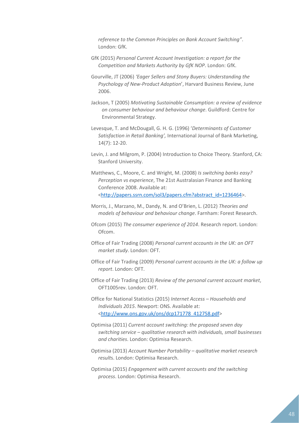*reference to the Common Principles on Bank Account Switching"*. London: GfK.

- GfK (2015) *Personal Current Account Investigation: a report for the Competition and Markets Authority by GfK NOP*. London: GfK.
- Gourville, JT (2006) *'Eager Sellers and Stony Buyers: Understanding the Psychology of New-Product Adoption*', Harvard Business Review, June 2006.
- Jackson, T (2005) *Motivating Sustainable Consumption: a review of evidence on consumer behaviour and behaviour change*. Guildford: Centre for Environmental Strategy.
- Levesque, T. and McDougall, G. H. G. (1996) '*Determinants of Customer Satisfaction in Retail Banking',* International Journal of Bank Marketing, 14(7): 12-20.
- Levin, J. and Milgrom, P. (2004) Introduction to Choice Theory. Stanford, CA: Stanford University.
- Matthews, C., Moore, C. and Wright, M. (2008) *Is switching banks easy? Perception vs experience*, The 21st Australasian Finance and Banking Conference 2008. Available at: [<http://papers.ssrn.com/sol3/papers.cfm?abstract\\_id=1236464>](http://papers.ssrn.com/sol3/papers.cfm?abstract_id=1236464).
- Morris, J., Marzano, M., Dandy, N. and O'Brien, L. (2012) *Theories and models of behaviour and behaviour change*. Farnham: Forest Research.
- Ofcom (2015) *The consumer experience of 2014*. Research report. London: Ofcom.
- Office of Fair Trading (2008) *Personal current accounts in the UK: an OFT market study*. London: OFT.
- Office of Fair Trading (2009) *Personal current accounts in the UK: a follow up report*. London: OFT.
- Office of Fair Trading (2013) *Review of the personal current account market*, OFT1005rev. London: OFT.
- Office for National Statistics (2015) *Internet Access – Households and Individuals 2015*. Newport: ONS. Available at: [<http://www.ons.gov.uk/ons/dcp171778\\_412758.pdf>](http://www.ons.gov.uk/ons/dcp171778_412758.pdf)
- Optimisa (2011) *Current account switching: the proposed seven day switching service – qualitative research with individuals, small businesses and charities*. London: Optimisa Research.
- Optimisa (2013) *Account Number Portability – qualitative market research result*s. London: Optimisa Research.
- Optimisa (2015) *Engagement with current accounts and the switching process*. London: Optimisa Research.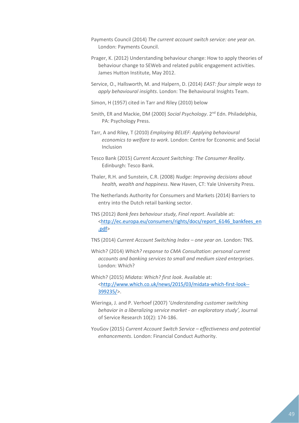- Payments Council (2014) *The current account switch service: one year on*. London: Payments Council.
- Prager, K. (2012) Understanding behaviour change: How to apply theories of behaviour change to SEWeb and related public engagement activities. James Hutton Institute, May 2012.
- Service, O., Hallsworth, M. and Halpern, D. (2014) *EAST: four simple ways to apply behavioural insights*. London: The Behavioural Insights Team.
- Simon, H (1957) cited in Tarr and Riley (2010) below
- Smith, ER and Mackie, DM (2000) *Social Psychology*. 2nd Edn. Philadelphia, PA: Psychology Press.
- Tarr, A and Riley, T (2010) *Employing BELIEF: Applying behavioural economics to welfare to work*. London: Centre for Economic and Social Inclusion
- Tesco Bank (2015) *Current Account Switching: The Consumer Reality*. Edinburgh: Tesco Bank.
- Thaler, R.H. and Sunstein, C.R. (2008) *Nudge: Improving decisions about health, wealth and happiness*. New Haven, CT: Yale University Press.
- The Netherlands Authority for Consumers and Markets (2014) Barriers to entry into the Dutch retail banking sector.
- TNS (2012) *Bank fees behaviour study, Final report*. Available at: [<http://ec.europa.eu/consumers/rights/docs/report\\_6146\\_bankfees\\_en](http://ec.europa.eu/consumers/rights/docs/report_6146_bankfees_en.pdf) [.pdf>](http://ec.europa.eu/consumers/rights/docs/report_6146_bankfees_en.pdf)
- TNS (2014) *Current Account Switching Index – one year on*. London: TNS.
- Which? (2014) *Which? response to CMA Consultation: personal current accounts and banking services to small and medium sized enterprises*. London: Which?
- Which? (2015) *Midata: Which? first look*. Available at: [<http://www.which.co.uk/news/2015/03/midata-which-first-look--](http://www.which.co.uk/news/2015/03/midata-which-first-look--399235/) [399235/>](http://www.which.co.uk/news/2015/03/midata-which-first-look--399235/).
- Wieringa, J. and P. Verhoef (2007) '*Understanding customer switching behavior in a liberalizing service market - an exploratory study',* Journal of Service Research 10(2): 174-186.
- YouGov (2015) *Current Account Switch Service – effectiveness and potential enhancements*. London: Financial Conduct Authority.